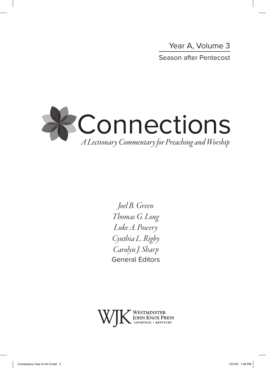Year A, Volume 3

Season after Pentecost



*Joel B. Green Thomas G. Long Luke A. Powery Cynthia L. Rigby Carolyn J. Sharp* General Editors

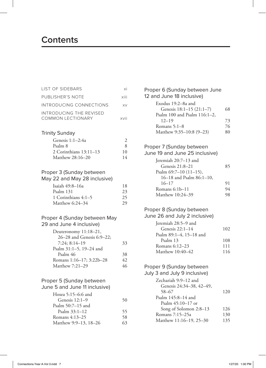# **Contents**

| <b>LIST OF SIDEBARS</b>                                  | хi       |
|----------------------------------------------------------|----------|
| <b>PUBLISHER'S NOTE</b>                                  | xiii     |
| INTRODUCING CONNECTIONS                                  | XV       |
| INTRODUCING THE REVISED<br><b>COMMON LECTIONARY</b>      | xvii     |
| <b>Trinity Sunday</b>                                    |          |
| Genesis $1:1-2:4a$                                       | 2        |
| Psalm 8                                                  | 8        |
| 2 Corinthians 13:11-13                                   | 10       |
| Matthew 28:16-20                                         | 14       |
| Proper 3 (Sunday between                                 |          |
| May 22 and May 28 inclusive)                             |          |
| Isaiah 49:8-16a                                          | 18       |
| Psalm 131<br>1 Corinthians 4:1-5                         | 23<br>25 |
| Matthew 6:24-34                                          | 29       |
| Proper 4 (Sunday between May<br>29 and June 4 inclusive) |          |
| Deuteronomy 11:18-21,                                    |          |
| 26-28 and Genesis 6:9-22;                                |          |
| 7:24; 8:14-19                                            | 33       |
| Psalm 31:1-5, 19-24 and                                  |          |
| Psalm 46                                                 | 38       |
| Romans 1:16-17; 3:22b-28                                 | 42       |
| Matthew 7:21-29                                          | 46       |
| Proper 5 (Sunday between                                 |          |
| June 5 and June 11 inclusive)                            |          |
| Hosea 5:15-6:6 and                                       |          |
| Genesis 12:1-9                                           | 50       |
| Psalm 50:7-15 and                                        |          |
| Psalm 33:1-12                                            | 55       |
| Romans 4:13-25                                           | 58       |
| Matthew 9:9-13, 18-26                                    | 63       |

| Proper 6 (Sunday between June |    |
|-------------------------------|----|
| 12 and June 18 inclusive)     |    |
| Exodus 19:2-8a and            |    |
| Genesis 18:1-15 (21:1-7)      | 68 |
| Psalm 100 and Psalm 116:1-2,  |    |
| $12 - 19$                     | 73 |
| Romans 5:1-8                  | 76 |
| Matthew 9:35-10:8 (9-23)      | 80 |
|                               |    |

## Proper 7 (Sunday between

June 19 and June 25 inclusive)

| Jeremiah 20:7-13 and        |    |
|-----------------------------|----|
| Genesis $21:8-21$           |    |
| Psalm $69:7-10$ $(11-15)$ , |    |
| 16-18 and Psalm 86:1-10,    |    |
| $16 - 17$                   | 91 |
| Romans $6:1b-11$            | 94 |
| Matthew 10:24-39            | 98 |
|                             |    |

## Proper 8 (Sunday between

## June 26 and July 2 inclusive)

| Jeremiah 28:5-9 and          |     |
|------------------------------|-----|
| Genesis $22:1-14$            | 102 |
| Psalm $89:1-4$ , $15-18$ and |     |
| Psalm 13                     | 108 |
| Romans 6:12-23               | 111 |
| Matthew 10:40–42             | 116 |
|                              |     |

## Proper 9 (Sunday between

## July 3 and July 9 inclusive)

| Zechariah 9:9-12 and     |     |
|--------------------------|-----|
| Genesis 24:34-38, 42-49, |     |
| $58 - 67$                | 120 |
| Psalm 145:8-14 and       |     |
| Psalm $45:10-17$ or      |     |
| Song of Solomon 2:8-13   | 126 |
| Romans 7:15-25a          | 130 |
| Matthew 11:16-19, 25-30  | 135 |
|                          |     |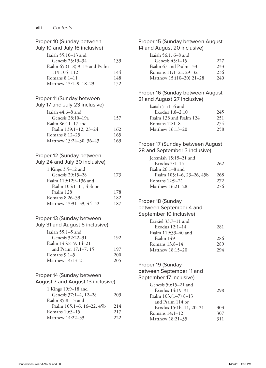| Proper 11 (Sunday between<br>July 17 and July 23 inclusive)<br>Isaiah 44:6-8 and<br>Genesis 28:10-19a<br>157<br>Psalm 86:11-17 and<br>Psalm 139:1-12, 23-24<br>162<br>Romans 8:12-25<br>165<br>Matthew 13:24-30, 36-43<br>169<br>Proper 12 (Sunday between<br>July 24 and July 30 inclusive)<br>1 Kings 3:5-12 and<br>Genesis 29:15-28<br>173<br>Psalm 119:129-136 and<br>Psalm 105:1-11, 45b or<br>Psalm 128<br>178<br>Romans 8:26-39<br>182<br>Matthew 13:31-33, 44-52<br>187<br>Proper 13 (Sunday between<br>July 31 and August 6 inclusive)<br>Isaiah $55:1-5$ and<br>Genesis 32:22-31<br>192<br>Psalm 145:8-9, 14-21<br>and Psalm 17:1–7, 15<br>197<br>Romans 9:1-5<br>200 |
|---------------------------------------------------------------------------------------------------------------------------------------------------------------------------------------------------------------------------------------------------------------------------------------------------------------------------------------------------------------------------------------------------------------------------------------------------------------------------------------------------------------------------------------------------------------------------------------------------------------------------------------------------------------------------------|
|                                                                                                                                                                                                                                                                                                                                                                                                                                                                                                                                                                                                                                                                                 |
|                                                                                                                                                                                                                                                                                                                                                                                                                                                                                                                                                                                                                                                                                 |
|                                                                                                                                                                                                                                                                                                                                                                                                                                                                                                                                                                                                                                                                                 |
|                                                                                                                                                                                                                                                                                                                                                                                                                                                                                                                                                                                                                                                                                 |
|                                                                                                                                                                                                                                                                                                                                                                                                                                                                                                                                                                                                                                                                                 |
|                                                                                                                                                                                                                                                                                                                                                                                                                                                                                                                                                                                                                                                                                 |
|                                                                                                                                                                                                                                                                                                                                                                                                                                                                                                                                                                                                                                                                                 |
|                                                                                                                                                                                                                                                                                                                                                                                                                                                                                                                                                                                                                                                                                 |
|                                                                                                                                                                                                                                                                                                                                                                                                                                                                                                                                                                                                                                                                                 |
|                                                                                                                                                                                                                                                                                                                                                                                                                                                                                                                                                                                                                                                                                 |
|                                                                                                                                                                                                                                                                                                                                                                                                                                                                                                                                                                                                                                                                                 |
|                                                                                                                                                                                                                                                                                                                                                                                                                                                                                                                                                                                                                                                                                 |
|                                                                                                                                                                                                                                                                                                                                                                                                                                                                                                                                                                                                                                                                                 |
|                                                                                                                                                                                                                                                                                                                                                                                                                                                                                                                                                                                                                                                                                 |
|                                                                                                                                                                                                                                                                                                                                                                                                                                                                                                                                                                                                                                                                                 |
|                                                                                                                                                                                                                                                                                                                                                                                                                                                                                                                                                                                                                                                                                 |
|                                                                                                                                                                                                                                                                                                                                                                                                                                                                                                                                                                                                                                                                                 |
|                                                                                                                                                                                                                                                                                                                                                                                                                                                                                                                                                                                                                                                                                 |
|                                                                                                                                                                                                                                                                                                                                                                                                                                                                                                                                                                                                                                                                                 |
|                                                                                                                                                                                                                                                                                                                                                                                                                                                                                                                                                                                                                                                                                 |
| Matthew 14:13-21<br>205                                                                                                                                                                                                                                                                                                                                                                                                                                                                                                                                                                                                                                                         |
|                                                                                                                                                                                                                                                                                                                                                                                                                                                                                                                                                                                                                                                                                 |
| Proper 14 (Sunday between<br>August 7 and August 13 inclusive)                                                                                                                                                                                                                                                                                                                                                                                                                                                                                                                                                                                                                  |
| 1 Kings 19:9-18 and                                                                                                                                                                                                                                                                                                                                                                                                                                                                                                                                                                                                                                                             |
| Genesis 37:1-4, 12-28<br>209                                                                                                                                                                                                                                                                                                                                                                                                                                                                                                                                                                                                                                                    |
| Psalm 85:8-13 and                                                                                                                                                                                                                                                                                                                                                                                                                                                                                                                                                                                                                                                               |
| Psalm 105:1-6, 16-22, 45b<br>214                                                                                                                                                                                                                                                                                                                                                                                                                                                                                                                                                                                                                                                |
| Romans 10:5-15<br>217<br>Matthew 14:22-33<br>222                                                                                                                                                                                                                                                                                                                                                                                                                                                                                                                                                                                                                                |

#### Proper 15 (Sunday between August 14 and August 20 inclusive)

| Isaiah 56:1, 6–8 and     |      |
|--------------------------|------|
| Genesis $45:1-15$        | 227  |
| Psalm 67 and Psalm 133   | 233  |
| Romans 11:1–2a, 29–32    | 236  |
| Matthew 15:(10-20) 21-28 | 2.40 |

# Proper 16 (Sunday between August

| 21 and August 27 inclusive) |  |
|-----------------------------|--|
|-----------------------------|--|

| Isaiah $51:1-6$ and     |     |
|-------------------------|-----|
| Exodus 1:8-2:10         | 245 |
| Psalm 138 and Psalm 124 | 251 |
| Romans $12:1-8$         | 254 |
| Matthew 16:13–20        | 258 |

# Proper 17 (Sunday between August

## 28 and September 3 inclusive)

| Jeremiah 15:15-21 and     |      |
|---------------------------|------|
| Exodus $3:1-15$           | 262  |
| Psalm $26:1-8$ and        |      |
| Psalm 105:1-6, 23-26, 45b | 268  |
| Romans 12:9-21            | 2.72 |
| Matthew 16:21-28          | 276  |
|                           |      |

## Proper 18 (Sunday

# between September 4 and

## September 10 inclusive)

| 281 |
|-----|
|     |
| 286 |
| 289 |
| 294 |
|     |

## Proper 19 (Sunday

between September 11 and

September 17 inclusive)

| 298 |
|-----|
|     |
|     |
| 303 |
| 307 |
| 311 |
|     |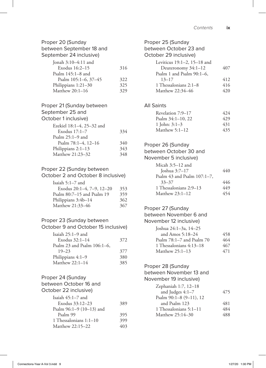| Proper 20 (Sunday        |
|--------------------------|
| between September 18 and |
| .                        |

| Jonah 3:10-4:11 and<br>Exodus 16:2–15<br>316<br>Psalm $145:1-8$ and |  |
|---------------------------------------------------------------------|--|
|                                                                     |  |
|                                                                     |  |
|                                                                     |  |
| Psalm 105:1-6, 37-45<br>322                                         |  |
| Philippians 1:21-30<br>325                                          |  |
| Matthew 20:1-16<br>329                                              |  |

#### Proper 21 (Sunday between September 25 and October 1 inclusive)

| Ezekiel 18:1-4, 25-32 and |     |
|---------------------------|-----|
| Exodus 17:1–7             | 334 |
| Psalm $25:1-9$ and        |     |
| Psalm 78:1-4, 12-16       | 340 |
| Philippians 2:1-13        | 343 |
| Matthew 21:23-32          | 348 |
|                           |     |

## Proper 22 (Sunday between

#### October 2 and October 8 inclusive)

| 353 |
|-----|
| 359 |
| 362 |
| 367 |
|     |

## Proper 23 (Sunday between

## October 9 and October 15 inclusive)

| Isaiah $25:1-9$ and         |     |
|-----------------------------|-----|
| Exodus 32:1-14              | 372 |
| Psalm 23 and Psalm 106:1–6, |     |
| $19 - 23$                   | 377 |
| Philippians 4:1-9           | 380 |
| Matthew 22:1-14             | 385 |

### Proper 24 (Sunday

#### between October 16 and

| October 22 inclusive)    |     |
|--------------------------|-----|
| Isaiah $45:1-7$ and      |     |
| Exodus 33:12–23          | 389 |
| Psalm 96:1-9 (10-13) and |     |
| Psalm 99                 | 395 |
| 1 Thessalonians 1:1–10   | 399 |
| Matthew 22:15–22         | 403 |
|                          |     |

| Proper 25 (Sunday                |     |
|----------------------------------|-----|
| between October 23 and           |     |
| October 29 inclusive)            |     |
| Leviticus $19:1-2$ , $15-18$ and |     |
| Deuteronomy 34:1-12              | 407 |
| Psalm 1 and Psalm 90:1-6,        |     |
| $13 - 17$                        | 412 |
| 1 Thessalonians 2:1-8            | 416 |
| Matthew 22:34-46                 | 420 |
|                                  |     |

#### All Saints

| 424 |
|-----|
| 429 |
| 431 |
| 435 |
|     |

## Proper 26 (Sunday

## between October 30 and

#### November 5 inclusive)

| 440 |
|-----|
|     |
| 446 |
| 449 |
| 454 |
|     |

## Proper 27 (Sunday

#### between November 6 and November 12 inclusive)

| Joshua 24:1-3a, 14-25         |     |
|-------------------------------|-----|
| and Amos 5:18-24              | 458 |
| Psalm $78:1-7$ and Psalm $70$ | 464 |
| 1 Thessalonians 4:13-18       | 467 |
| Matthew 25:1-13               | 471 |

## Proper 28 (Sunday

between November 13 and November 19 inclusive)

| Zephaniah 1:7, 12-18    |     |
|-------------------------|-----|
| and Judges $4:1-7$      | 475 |
| Psalm 90:1-8 (9-11), 12 |     |
| and Psalm 123           | 481 |
| 1 Thessalonians 5:1-11  | 484 |
| Matthew 25:14-30        | 488 |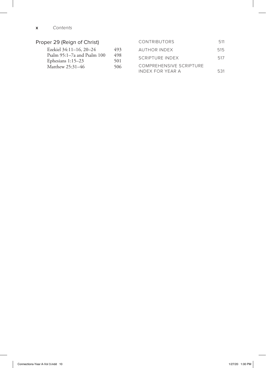| Proper 29 (Reign of Christ)                            |            | <b>CONTRIBUTORS</b>                         | 511 |
|--------------------------------------------------------|------------|---------------------------------------------|-----|
| Ezekiel 34:11-16, 20-24                                | 493        | <b>AUTHOR INDEX</b>                         | 515 |
| Psalm $95:1-7a$ and Psalm $100$<br>Ephesians $1:15-23$ | 498<br>501 | <b>SCRIPTURE INDEX</b>                      | 517 |
| Matthew 25:31–46                                       | 506        | COMPREHENSIVE SCRIPTURE<br>INDEX FOR YEAR A | 531 |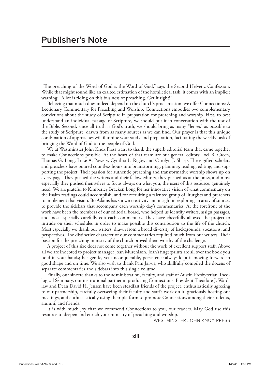"The preaching of the Word of God is the Word of God," says the Second Helvetic Confession. While that might sound like an exalted estimation of the homiletical task, it comes with an implicit warning: "A lot is riding on this business of preaching. Get it right!"

Believing that much does indeed depend on the church's proclamation, we offer Connections: A Lectionary Commentary for Preaching and Worship. Connections embodies two complementary convictions about the study of Scripture in preparation for preaching and worship. First, to best understand an individual passage of Scripture, we should put it in conversation with the rest of the Bible. Second, since all truth is God's truth, we should bring as many "lenses" as possible to the study of Scripture, drawn from as many sources as we can find. Our prayer is that this unique combination of approaches will illumine your study and preparation, facilitating the weekly task of bringing the Word of God to the people of God.

We at Westminster John Knox Press want to thank the superb editorial team that came together to make Connections possible. At the heart of that team are our general editors: Joel B. Green, Thomas G. Long, Luke A. Powery, Cynthia L. Rigby, and Carolyn J. Sharp. These gifted scholars and preachers have poured countless hours into brainstorming, planning, reading, editing, and supporting the project. Their passion for authentic preaching and transformative worship shows up on every page. They pushed the writers and their fellow editors, they pushed us at the press, and most especially they pushed themselves to focus always on what you, the users of this resource, genuinely need. We are grateful to Kimberley Bracken Long for her innovative vision of what commentary on the Psalm readings could accomplish, and for recruiting a talented group of liturgists and preachers to implement that vision. Bo Adams has shown creativity and insight in exploring an array of sources to provide the sidebars that accompany each worship day's commentaries. At the forefront of the work have been the members of our editorial board, who helped us identify writers, assign passages, and most especially carefully edit each commentary. They have cheerfully allowed the project to intrude on their schedules in order to make possible this contribution to the life of the church. Most especially we thank our writers, drawn from a broad diversity of backgrounds, vocations, and perspectives. The distinctive character of our commentaries required much from our writers. Their passion for the preaching ministry of the church proved them worthy of the challenge.

A project of this size does not come together without the work of excellent support staff. Above all we are indebted to project manager Joan Murchison. Joan's fingerprints are all over the book you hold in your hands; her gentle, yet unconquerable, persistence always kept it moving forward in good shape and on time. We also wish to thank Pam Jarvis, who skillfully compiled the dozens of separate commentaries and sidebars into this single volume.

Finally, our sincere thanks to the administration, faculty, and staff of Austin Presbyterian Theological Seminary, our institutional partner in producing Connections. President Theodore J. Wardlaw and Dean David H. Jensen have been steadfast friends of the project, enthusiastically agreeing to our partnership, carefully overseeing their faculty and staff's work on it, graciously hosting our meetings, and enthusiastically using their platform to promote Connections among their students, alumni, and friends.

It is with much joy that we commend Connections to you, our readers. May God use this resource to deepen and enrich your ministry of preaching and worship.

WESTMINSTER JOHN KNOX PRESS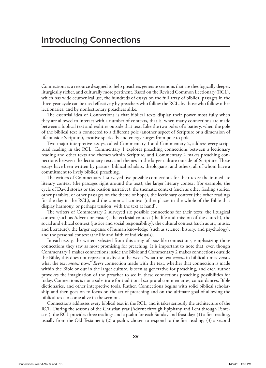Connections is a resource designed to help preachers generate sermons that are theologically deeper, liturgically richer, and culturally more pertinent. Based on the Revised Common Lectionary (RCL), which has wide ecumenical use, the hundreds of essays on the full array of biblical passages in the three-year cycle can be used effectively by preachers who follow the RCL, by those who follow other lectionaries, and by nonlectionary preachers alike.

The essential idea of Connections is that biblical texts display their power most fully when they are allowed to interact with a number of contexts, that is, when many connections are made between a biblical text and realities outside that text. Like the two poles of a battery, when the pole of the biblical text is connected to a different pole (another aspect of Scripture or a dimension of life outside Scripture), creative sparks fly and energy surges from pole to pole.

Two major interpretive essays, called Commentary 1 and Commentary 2, address every scriptural reading in the RCL. Commentary 1 explores preaching connections between a lectionary reading and other texts and themes within Scripture, and Commentary 2 makes preaching connections between the lectionary texts and themes in the larger culture outside of Scripture. These essays have been written by pastors, biblical scholars, theologians, and others, all of whom have a commitment to lively biblical preaching.

The writers of Commentary 1 surveyed five possible connections for their texts: the immediate literary context (the passages right around the text), the larger literary context (for example, the cycle of David stories or the passion narrative), the thematic context (such as other feeding stories, other parables, or other passages on the theme of hope), the lectionary context (the other readings for the day in the RCL), and the canonical context (other places in the whole of the Bible that display harmony, or perhaps tension, with the text at hand).

The writers of Commentary 2 surveyed six possible connections for their texts: the liturgical context (such as Advent or Easter), the ecclesial context (the life and mission of the church), the social and ethical context (justice and social responsibility), the cultural context (such as art, music, and literature), the larger expanse of human knowledge (such as science, history, and psychology), and the personal context (the life and faith of individuals).

In each essay, the writers selected from this array of possible connections, emphasizing those connections they saw as most promising for preaching. It is important to note that, even though Commentary 1 makes connections inside the Bible and Commentary 2 makes connections outside the Bible, this does not represent a division between "what the text *meant* in biblical times versus what the text *means* now." *Every* connection made with the text, whether that connection is made within the Bible or out in the larger culture, is seen as generative for preaching, and each author provokes the imagination of the preacher to see in these connections preaching possibilities for today. Connections is not a substitute for traditional scriptural commentaries, concordances, Bible dictionaries, and other interpretive tools. Rather, Connections begins with solid biblical scholarship and then goes on to focus on the act of preaching and on the ultimate goal of allowing the biblical text to come alive in the sermon.

Connections addresses every biblical text in the RCL, and it takes seriously the architecture of the RCL. During the seasons of the Christian year (Advent through Epiphany and Lent through Pentecost), the RCL provides three readings and a psalm for each Sunday and feast day: (1) a first reading, usually from the Old Testament; (2) a psalm, chosen to respond to the first reading; (3) a second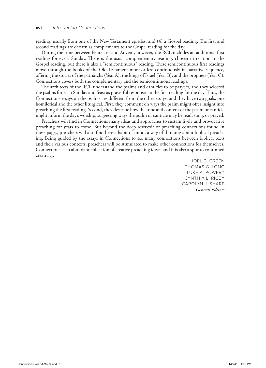reading, usually from one of the New Testament epistles; and (4) a Gospel reading. The first and second readings are chosen as complements to the Gospel reading for the day.

During the time between Pentecost and Advent, however, the RCL includes an additional first reading for every Sunday. There is the usual complementary reading, chosen in relation to the Gospel reading, but there is also a "semicontinuous" reading. These semicontinuous first readings move through the books of the Old Testament more or less continuously in narrative sequence, offering the stories of the patriarchs (Year A), the kings of Israel (Year B), and the prophets (Year C). Connections covers both the complementary and the semicontinuous readings.

The architects of the RCL understand the psalms and canticles to be prayers, and they selected the psalms for each Sunday and feast as prayerful responses to the first reading for the day. Thus, the Connections essays on the psalms are different from the other essays, and they have two goals, one homiletical and the other liturgical. First, they comment on ways the psalm might offer insight into preaching the first reading. Second, they describe how the tone and content of the psalm or canticle might inform the day's worship, suggesting ways the psalm or canticle may be read, sung, or prayed.

Preachers will find in Connections many ideas and approaches to sustain lively and provocative preaching for years to come. But beyond the deep reservoir of preaching connections found in these pages, preachers will also find here a habit of mind, a way of thinking about biblical preaching. Being guided by the essays in Connections to see many connections between biblical texts and their various contexts, preachers will be stimulated to make other connections for themselves. Connections is an abundant collection of creative preaching ideas, and it is also a spur to continued creativity.

> JOEL B. GREEN THOMAS G. LONG LUKE A. POWERY CYNTHIA L. RIGBY CAROLYN J. SHARP *General Editors*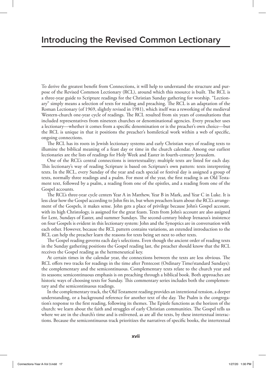To derive the greatest benefit from Connections, it will help to understand the structure and purpose of the Revised Common Lectionary (RCL), around which this resource is built. The RCL is a three-year guide to Scripture readings for the Christian Sunday gathering for worship. "Lectionary" simply means a selection of texts for reading and preaching. The RCL is an adaptation of the Roman Lectionary (of 1969, slightly revised in 1981), which itself was a reworking of the medieval Western-church one-year cycle of readings. The RCL resulted from six years of consultations that included representatives from nineteen churches or denominational agencies. Every preacher uses a lectionary—whether it comes from a specific denomination or is the preacher's own choice—but the RCL is unique in that it positions the preacher's homiletical work within a web of specific, ongoing connections.

The RCL has its roots in Jewish lectionary systems and early Christian ways of reading texts to illumine the biblical meaning of a feast day or time in the church calendar. Among our earliest lectionaries are the lists of readings for Holy Week and Easter in fourth-century Jerusalem.

One of the RCL's central connections is intertextuality; multiple texts are listed for each day. This lectionary's way of reading Scripture is based on Scripture's own pattern: texts interpreting texts. In the RCL, every Sunday of the year and each special or festival day is assigned a group of texts, normally three readings and a psalm. For most of the year, the first reading is an Old Testament text, followed by a psalm, a reading from one of the epistles, and a reading from one of the Gospel accounts.

The RCL's three-year cycle centers Year A in Matthew, Year B in Mark, and Year C in Luke. It is less clear how the Gospel according to John fits in, but when preachers learn about the RCL's arrangement of the Gospels, it makes sense. John gets a place of privilege because John's Gospel account, with its high Christology, is assigned for the great feasts. Texts from John's account are also assigned for Lent, Sundays of Easter, and summer Sundays. The second-century bishop Irenaeus's insistence on four Gospels is evident in this lectionary system: John and the Synoptics are in conversation with each other. However, because the RCL pattern contains variations, an extended introduction to the RCL can help the preacher learn the reasons for texts being set next to other texts.

The Gospel reading governs each day's selections. Even though the ancient order of reading texts in the Sunday gathering positions the Gospel reading last, the preacher should know that the RCL receives the Gospel reading as the hermeneutical key.

At certain times in the calendar year, the connections between the texts are less obvious. The RCL offers two tracks for readings in the time after Pentecost (Ordinary Time/standard Sundays): the complementary and the semicontinuous. Complementary texts relate to the church year and its seasons; semicontinuous emphasis is on preaching through a biblical book. Both approaches are historic ways of choosing texts for Sunday. This commentary series includes both the complementary and the semicontinuous readings.

In the complementary track, the Old Testament reading provides an intentional tension, a deeper understanding, or a background reference for another text of the day. The Psalm is the congregation's response to the first reading, following its themes. The Epistle functions as the horizon of the church: we learn about the faith and struggles of early Christian communities. The Gospel tells us where we are in the church's time and is enlivened, as are all the texts, by these intertextual interactions. Because the semicontinuous track prioritizes the narratives of specific books, the intertextual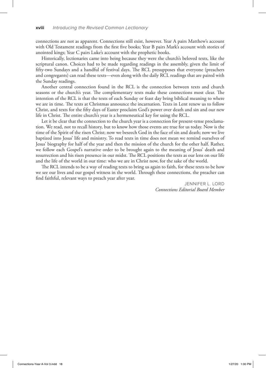connections are not as apparent. Connections still exist, however. Year A pairs Matthew's account with Old Testament readings from the first five books; Year B pairs Mark's account with stories of anointed kings; Year C pairs Luke's account with the prophetic books.

Historically, lectionaries came into being because they were the church's beloved texts, like the scriptural canon. Choices had to be made regarding readings in the assembly, given the limit of fifty-two Sundays and a handful of festival days. The RCL presupposes that everyone (preachers and congregants) can read these texts—even along with the daily RCL readings that are paired with the Sunday readings.

Another central connection found in the RCL is the connection between texts and church seasons or the church's year. The complementary texts make these connections most clear. The intention of the RCL is that the texts of each Sunday or feast day bring biblical meaning to where we are in time. The texts at Christmas announce the incarnation. Texts in Lent renew us to follow Christ, and texts for the fifty days of Easter proclaim God's power over death and sin and our new life in Christ. The entire church's year is a hermeneutical key for using the RCL.

Let it be clear that the connection to the church year is a connection for present-tense proclamation. We read, not to recall history, but to know how those events are true for us today. Now is the time of the Spirit of the risen Christ; now we beseech God in the face of sin and death; now we live baptized into Jesus' life and ministry. To read texts in time does not mean we remind ourselves of Jesus' biography for half of the year and then the mission of the church for the other half. Rather, we follow each Gospel's narrative order to be brought again to the meaning of Jesus' death and resurrection and his risen presence in our midst. The RCL positions the texts as our lens on our life and the life of the world in our time: who we are in Christ now, for the sake of the world.

The RCL intends to be a way of reading texts to bring us again to faith, for these texts to be how we see our lives and our gospel witness in the world. Through these connections, the preacher can find faithful, relevant ways to preach year after year.

> JENNIFER L. LORD *Connections Editorial Board Member*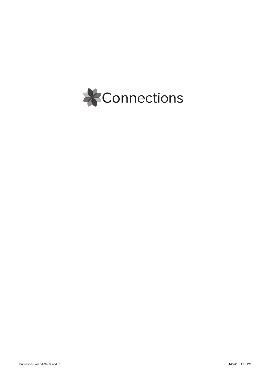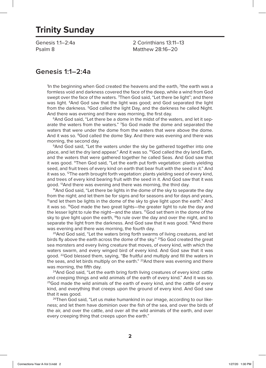# **Trinity Sunday**

Genesis 1:1–2:4a Psalm 8

2 Corinthians 13:11–13 Matthew 28:16–20

## **Genesis 1:1–2:4a**

In the beginning when God created the heavens and the earth, <sup>2</sup>the earth was a formless void and darkness covered the face of the deep, while a wind from God swept over the face of the waters. <sup>3</sup>Then God said, "Let there be light"; and there was light. 4 And God saw that the light was good; and God separated the light from the darkness. <sup>5</sup>God called the light Day, and the darkness he called Night. And there was evening and there was morning, the first day.

<sup>6</sup>And God said, "Let there be a dome in the midst of the waters, and let it separate the waters from the waters." <sup>7</sup>So God made the dome and separated the waters that were under the dome from the waters that were above the dome. And it was so. <sup>8</sup>God called the dome Sky. And there was evening and there was morning, the second day.

<sup>9</sup>And God said, "Let the waters under the sky be gathered together into one place, and let the dry land appear." And it was so. <sup>10</sup>God called the dry land Earth, and the waters that were gathered together he called Seas. And God saw that it was good. <sup>11</sup>Then God said, "Let the earth put forth vegetation: plants yielding seed, and fruit trees of every kind on earth that bear fruit with the seed in it." And it was so.<sup>12</sup>The earth brought forth vegetation: plants yielding seed of every kind, and trees of every kind bearing fruit with the seed in it. And God saw that it was good. <sup>13</sup>And there was evening and there was morning, the third day.

<sup>14</sup>And God said, "Let there be lights in the dome of the sky to separate the day from the night; and let them be for signs and for seasons and for days and years,  $15$ and let them be lights in the dome of the sky to give light upon the earth." And it was so. <sup>16</sup>God made the two great lights—the greater light to rule the day and the lesser light to rule the night—and the stars. <sup>17</sup>God set them in the dome of the sky to give light upon the earth, <sup>18</sup>to rule over the day and over the night, and to separate the light from the darkness. And God saw that it was good. <sup>19</sup>And there was evening and there was morning, the fourth day.

<sup>20</sup>And God said, "Let the waters bring forth swarms of living creatures, and let birds fly above the earth across the dome of the sky." <sup>21</sup>So God created the great sea monsters and every living creature that moves, of every kind, with which the waters swarm, and every winged bird of every kind. And God saw that it was good. <sup>22</sup>God blessed them, saying, "Be fruitful and multiply and fill the waters in the seas, and let birds multiply on the earth." <sup>23</sup>And there was evening and there was morning, the fifth day.

<sup>24</sup>And God said, "Let the earth bring forth living creatures of every kind: cattle and creeping things and wild animals of the earth of every kind." And it was so.  $25$ God made the wild animals of the earth of every kind, and the cattle of every kind, and everything that creeps upon the ground of every kind. And God saw that it was good.

<sup>26</sup>Then God said, "Let us make humankind in our image, according to our likeness; and let them have dominion over the fish of the sea, and over the birds of the air, and over the cattle, and over all the wild animals of the earth, and over every creeping thing that creeps upon the earth."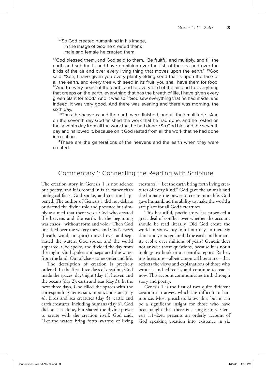<sup>27</sup>So God created humankind in his image, in the image of God he created them; male and female he created them.

<sup>28</sup>God blessed them, and God said to them, "Be fruitful and multiply, and fill the earth and subdue it; and have dominion over the fish of the sea and over the birds of the air and over every living thing that moves upon the earth." <sup>29</sup>God said, "See, I have given you every plant yielding seed that is upon the face of all the earth, and every tree with seed in its fruit; you shall have them for food. <sup>30</sup> And to every beast of the earth, and to every bird of the air, and to everything that creeps on the earth, everything that has the breath of life, I have given every green plant for food." And it was so. <sup>31</sup>God saw everything that he had made, and indeed, it was very good. And there was evening and there was morning, the sixth day.

 $2.1$ Thus the heavens and the earth were finished, and all their multitude.  $2$ And on the seventh day God finished the work that he had done, and he rested on the seventh day from all the work that he had done. <sup>3</sup>So God blessed the seventh day and hallowed it, because on it God rested from all the work that he had done in creation.

<sup>4</sup>These are the generations of the heavens and the earth when they were created.

### Commentary 1: Connecting the Reading with Scripture

The creation story in Genesis 1 is not science but poetry, and it is rooted in faith rather than biological facts. God spoke, and creation happened. The author of Genesis 1 did not debate or defend the divine role and presence but simply assumed that there was a God who created the heavens and the earth. In the beginning was chaos, "without form and void." Then God breathed over the watery mess, and God's *ruach* (breath, wind, or spirit) moved over and separated the waters. God spoke, and the world appeared. God spoke, and divided the day from the night. God spoke, and separated the water from the land. Out of chaos came order and life.

The description of creation is precisely ordered. In the first three days of creation, God made the spaces: day/night (day 1), heaven and the oceans (day 2), earth and seas (day 3). In the next three days, God filled the spaces with the corresponding items: sun, moon, and stars (day 4), birds and sea creatures (day 5), cattle and earth creatures, including humans (day 6). God did not act alone, but shared the divine power to create with the creation itself. God said, "Let the waters bring forth swarms of living creatures." "Let the earth bring forth living creatures of every kind." God gave the animals and the humans the power to create more life. God gave humankind the ability to make the world a safe place for all God's creatures.

This beautiful, poetic story has provoked a great deal of conflict over whether the account should be read literally. Did God create the world in six twenty-four-hour days, a mere six thousand years ago, or did the earth and humanity evolve over millions of years? Genesis does not answer those questions, because it is not a biology textbook or a scientific report. Rather, it is literature—albeit canonical literature—that reflects the views and explanations of those who wrote it and edited it, and continue to read it now. This account communicates truth through story and poetry.

Genesis 1 is the first of two quite different creation narratives, which are difficult to harmonize. Most preachers know this, but it can be a significant insight for those who have been taught that there is a single story. Genesis 1:1–2:4a presents an orderly account of God speaking creation into existence in six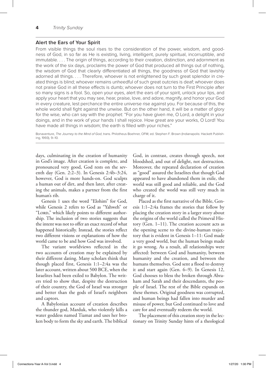#### **Alert the Ears of Your Spirit**

From visible things the soul rises to the consideration of the power, wisdom, and goodness of God, in so far as He is existing, living, intelligent, purely spiritual, incorruptible, and immutable. . . . The origin of things, according to their creation, distinction, and adornment as the work of the six days, proclaims the power of God that produced all things out of nothing, the wisdom of God that clearly differentiated all things, the goodness of God that lavishly adorned all things. . . . Therefore, whoever is not enlightened by such great splendor in created things is blind; whoever remains unheedful of such great outcries is deaf; whoever does not praise God in all these effects is dumb; whoever does not turn to the First Principle after so many signs is a fool. So, open your eyes, alert the ears of your spirit, unlock your lips, and apply your heart that you may see, hear, praise, love, and adore, magnify, and honor your God in every creature, lest perchance the entire universe rise against you. For because of this, the whole world shall fight against the unwise. But on the other hand, it will be a matter of glory for the wise, who can say with the prophet: "For you have given me, O Lord, a delight in your doings, and in the work of your hands I shall rejoice. How great are your works, O Lord! You have made all things in wisdom; the earth is filled with your riches."

Bonaventure, *The Journey to the Mind of God*, trans. Philotheus Boehner, OFM; ed. Stephen F. Brown (Indianapolis: Hackett Publishing, 1993), 9–10.

days, culminating in the creation of humanity in God's image. After creation is complete, and pronounced very good, God rests on the seventh day (Gen. 2:2–3). In Genesis 2:4b–3:24, however, God is more hands-on. God sculpts a human out of dirt, and then later, after creating the animals, makes a partner from the first human's rib.

Genesis 1 uses the word "Elohim" for God, while Genesis 2 refers to God as "Yahweh" or "LORD," which likely points to different authorship. The inclusion of two stories suggests that the intent was not to offer an exact record of what happened historically. Instead, the stories reflect two different visions or explanations of how the world came to be and how God was involved.

The variant worldviews reflected in the two accounts of creation may be explained by their different dating. Many scholars think that though placed first, Genesis 1:1–2:4a was the later account, written about 500 BCE, when the Israelites had been exiled to Babylon. The writers tried to show that, despite the destruction of their country, the God of Israel was stronger and better than the gods of Israel's neighbors and captors.

A Babylonian account of creation describes the thunder god, Marduk, who violently kills a water goddess named Tiamat and uses her broken body to form the sky and earth. The biblical God, in contrast, creates through speech, not bloodshed, and out of delight, not destruction. Moreover, the repeated declaration of creation as "good" assured the Israelites that though God appeared to have abandoned them in exile, the world was still good and reliable, and the God who created the world was still very much in charge of it.

Placed as the first narrative of the Bible, Genesis 1:1–2:4a frames the stories that follow by placing the creation story in a larger story about the origins of the world called the Primeval History (Gen. 1–11). The creation account acts as the opening scene to the divine-human trajectory that is evident in Genesis 1–11: God made a very good world, but the human beings made it go wrong. As a result, all relationships were affected: between God and humanity, between humanity and the creation, and between the humans themselves. God sent a flood to destroy it and start again (Gen. 6–9). In Genesis 12, God chooses to bless the broken through Abraham and Sarah and their descendants, the people of Israel. The rest of the Bible expands on these themes. Original goodness was corrupted, and human beings had fallen into murder and misuse of power, but God continued to love and care for and eventually redeem the world.

The placement of this creation story in the lectionary on Trinity Sunday hints of a theological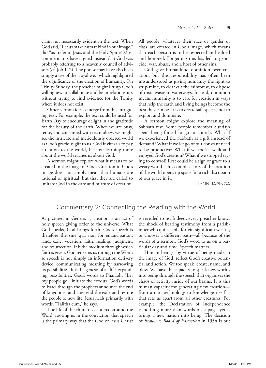claim not necessarily evident in the text. When God said, "Let us make humankind in our image," did "us" refer to Jesus and the Holy Spirit? Most commentators have argued instead that God was probably referring to a heavenly council of advisors (cf. Job 1–2). The phrase may have also been simply a use of the "royal we," which highlighted the significance of the creation of humanity. On Trinity Sunday, the preacher might lift up God's willingness to collaborate and be in relationship, without trying to find evidence for the Trinity where it does not exist.

Other sermon ideas emerge from this intriguing text. For example, the text could be used for Earth Day to encourage delight in and gratitude for the beauty of the earth. When we are busy, tense, and consumed with technology, we might see the intricate and meticulously ordered world as God's gracious gift to us. God invites us to pay attention to the world, because learning more about the world teaches us about God.

A sermon might explore what it means to be created in the image of God. Creation in God's image does not simply mean that humans are rational or spiritual, but that they are called to imitate God in the care and nurture of creation.

All people, whatever their race or gender or class, are created in God's image, which means that each person is to be respected and valued and honored. Forgetting this has led to genocide, war, abuse, and a host of other sins.

God gave humankind dominion over creation, but this responsibility has often been misunderstood as giving humanity the right to strip-mine, to clear cut the rainforest, to dispose of toxic waste in waterways. Instead, dominion means humanity is to care for creation in ways that help the earth and living beings become the best they can be. It is to create safe spaces, not to exploit and dominate.

A sermon might explore the meaning of Sabbath rest. Some people remember Sundays spent being forced to go to church. What if we experienced the Sabbath as a gift instead of demand? What if we let go of our constant need to be productive? What if we took a walk and enjoyed God's creation? What if we stopped trying to control? Rest could be a sign of grace to a weary world. This complex story of the creation of the world opens up space for a rich discussion of our place in it.

LYNN JAPINGA

### Commentary 2: Connecting the Reading with the World

As pictured in Genesis 1, creation is an act of holy speech giving order to the universe. What God speaks, God brings forth. God's speech is therefore the sine qua non for emancipation, land, exile, vocation, faith, healing, judgment, and resurrection. It is the medium through which faith is given. God redeems us through the Word; so speech is not simply an information delivery device, communicating meaning by narrowing its possibilities. It is the genesis of all life, expanding possibilities. God's words to Pharaoh, "Let my people go," initiate the exodus. God's words to Israel through the prophets announce the end of kingdoms, and later end the exile and restore the people to new life. Jesus heals primarily with words. "Talitha cum," he says.

The life of the church is centered around the Word, rooting us in the conviction that speech is the primary way that the God of Jesus Christ

is revealed to us. Indeed, every preacher knows the shock of hearing testimony from a parishioner who quits a job, forfeits significant wealth, or chooses a different path—all because of the words of a sermon, God's word to us on a particular day and time. Speech matters.

Human beings, by virtue of being made in the image of God, reflect God's creative potential and action. We too speak, create, name, and bless. We have the capacity to speak new worlds into being through the speech that organizes the chaos of activity inside of our brains. It is this human capacity for generating new creation from art to technology to knowledge itself that sets us apart from all other creatures. For example, the Declaration of Independence is nothing more than words on a page, yet it brings a new nation into being. The decision of *Brown v. Board of Education* in 1954 is but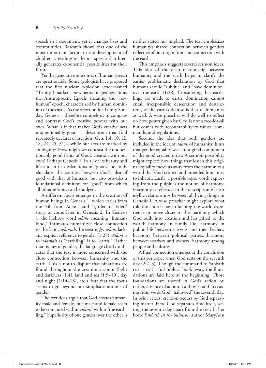speech in a document, yet it changes lives and communities. Research shows that one of the most important factors in the development of children is reading to them—speech that literally generates exponential possibilities for their future.

Yet the generative outcomes of human speech are questionable. Some geologists have proposed that the first nuclear explosion (code-named "Trinity") marked a new period in geologic time, the Anthropocene Epoch, meaning the "new human" epoch, characterized by human dominion of the earth. As the selection for Trinity Sunday, Genesis 1 therefore compels us to compare and contrast God's creative powers with our own. What is it that makes God's creative acts unquestionably good—a description that God repeatedly declares of creation (Gen. 1:4, 10, 12, 18, 21, 25, 31)—while our acts are marked by ambiguity? How might we contrast the unquestionably good fruits of God's creation with our own? Perhaps Genesis 1, in all of its beauty and life and in its declarations of "good," not only elucidates the contrast between God's idea of good with that of humans, but also provides a foundational definition for "good" from which all other notions can be judged.

A different focus emerges in the creation of human beings in Genesis 1, which varies from the "rib from Adam" and "garden of Eden" story to come later in Genesis 2. In Genesis 1, the Hebrew word *adam*, meaning "humankind," intimates humanity's close connection to the land, *adamah*. Interestingly, *adam* lacks any explicit reference to gender (1:27). *Adam* is to *adamah* as "earthling" is to "earth." Rather than issues of gender, the language clearly indicates that the text is more concerned with the close connection between humanity and the earth. This is not to dispute that binarisms are found throughout the creation account (light and darkness [1:4], land and sea [1:9–10], day and night [1:14–18], etc.), but that the focus seems to go beyond our simplistic notions of gender.

The text does argue that God creates humanity male and female, but male and female seem to be contained within *adam*," within "the earthling." Superiority of one gender over the other is neither stated nor implied. The text emphasizes humanity's shared connection between genders reflective of our origin from and connection with the earth.

This emphasis suggests several sermon ideas. This idea of the deep relationship between humanity and the earth helps to clarify the earlier problematic declaration by God that humans should "subdue" and "have dominion" over the earth (1:28). Considering that earthlings are made of earth, domination cannot entail irresponsible desecration and destruction, as the earth's demise is that of humanity as well. A wise preacher will do well to reflect on how power given by God is not a free-for-all but comes with accountability to values, commands, and regulations.

Second, the idea that both genders are included in the idea of *adam*, of humanity, hints that gender equality was an original component of the good created order. A sermon possibility might explore how things that lessen this original equality move us away from the harmonious world that God created and intended humanity to inhabit. Lastly, a possible topic worth exploring from the pulpit is the notion of harmony. Harmony is reflected in the description of near idyllic relationships between all living things in Genesis 1. A wise preacher might explore what role the church has in helping the world experience or move closer to this harmony, which God built into creation and has gifted to the world: harmony in family life, harmony in public life between citizens and their leaders, harmony between political parties, harmony between workers and owners, harmony among people and cultures.

A final connection emerges at the conclusion of this pericope, when God rests on the seventh day (2:2–3). Though the command to Sabbath rest is still a full biblical book away, the foundations are laid here at the beginning. Those foundations are rooted in God's action or, rather, absence of action. God rests, and in ceasing from work God "hallowed" the seventh day. In prior verses, creation occurs by God separating matter. Here God separates time itself, setting the seventh day apart from the rest. In her book *Sabbath in the Suburbs*, author MaryAnn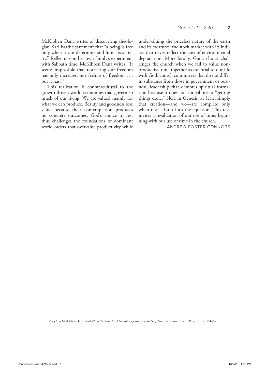McKibben Dana writes of discovering theologian Karl Barth's statement that "a being is free only when it can determine and limit its activity." Reflecting on her own family's experiment with Sabbath time, McKibben Dana writes, "It seems impossible that restricting our freedom has only increased our feeling of freedom . . . but it has."1

This realization is countercultural to the growth-driven world economies that govern so much of our living. We are valued mainly for what we can produce. Beauty and goodness lose value because their contemplation produces no concrete outcomes. God's choice to rest thus challenges the foundations of dominant world orders that overvalue productivity while undervaluing the priceless nature of the earth and its creatures: the stock market with its indices that never reflect the cost of environmental degradation. More locally, God's choice challenges the church when we fail to value nonproductive time together as essential to our life with God: church committees that do not differ in substance from those in government or business, leadership that demotes spiritual formation because it does not contribute to "getting things done." Here in Genesis we learn simply that creation—and we—are complete only when rest is built into the equation. This text invites a revaluation of our use of time, beginning with our use of time in the church.

ANDREW FOSTER CONNORS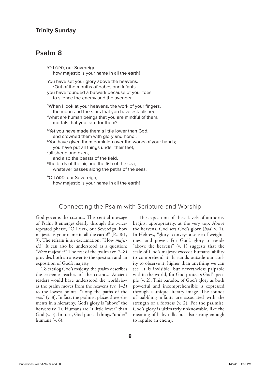#### **Trinity Sunday**

## **Psalm 8**

<sup>1</sup>O Lord, our Sovereign, how majestic is your name in all the earth! You have set your glory above the heavens. 2Out of the mouths of babes and infants you have founded a bulwark because of your foes, to silence the enemy and the avenger. <sup>3</sup>When I look at your heavens, the work of your fingers, the moon and the stars that you have established; 4 what are human beings that you are mindful of them, mortals that you care for them? 5Yet you have made them a little lower than God, and crowned them with glory and honor. <sup>6</sup>You have given them dominion over the works of your hands; you have put all things under their feet, <sup>7</sup>all sheep and oxen, and also the beasts of the field, <sup>8</sup>the birds of the air, and the fish of the sea, whatever passes along the paths of the seas. <sup>9</sup>O LORD, our Sovereign,

how majestic is your name in all the earth!

#### Connecting the Psalm with Scripture and Worship

God governs the cosmos. This central message of Psalm 8 emerges clearly through the twicerepeated phrase, "O LORD, our Sovereign, how majestic is your name in all the earth!" (Ps. 8:1, 9). The refrain is an exclamation: "How *majestic*!" It can also be understood as a question: "*How* majestic?" The rest of the psalm (vv. 2–8) provides both an answer to the question and an exposition of God's majesty.

To catalog God's majesty, the psalm describes the extreme reaches of the cosmos. Ancient readers would have understood the worldview as the psalm moves from the heavens (vv.  $1-3$ ) to the lowest points, "along the paths of the seas" (v. 8). In fact, the psalmist places these elements in a hierarchy. God's glory is "above" the heavens (v. 1). Humans are "a little lower" than God (v. 5). In turn, God puts all things "under" humans (v. 6).

The exposition of these levels of authority begins, appropriately, at the very top. Above the heavens, God sets God's glory (*hod*, v. 1). In Hebrew, "glory" conveys a sense of weightiness and power. For God's glory to reside "above the heavens" (v. 1) suggests that the scale of God's majesty exceeds humans' ability to comprehend it. It stands outside our ability to observe it, higher than anything we can see. It is invisible, but nevertheless palpable within the world, for God protects God's people (v. 2). This paradox of God's glory as both powerful and incomprehensible is expressed through a unique literary image. The sounds of babbling infants are associated with the strength of a fortress (v. 2). For the psalmist, God's glory is ultimately unknowable, like the meaning of baby talk, but also strong enough to repulse an enemy.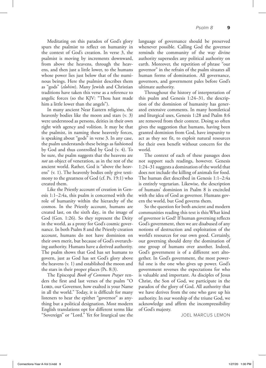Meditating on this paradox of God's glory spurs the psalmist to reflect on humanity in the context of God's creation. In verse 3, the psalmist is moving by increments downward, from above the heavens, through the heavens, and then just a little lower, to the humans whose power lies just below that of the numinous beings. Here the psalmist describes them as "gods" (*elohim*). Many Jewish and Christian traditions have taken this verse as a reference to angelic forces (so the KJV: "Thou hast made him a little lower than the angels").

In many ancient Near Eastern religions, the heavenly bodies like the moon and stars (v. 3) were understood as persons, deities in their own right with agency and volition. It may be that the psalmist, in naming these heavenly forces, is speaking about "gods" in verse 3. In any case, the psalm understands these beings as fashioned by God and thus controlled by God (v. 4). To be sure, the psalm suggests that the heavens are *not* an object of veneration, as in the rest of the ancient world. Rather, God is "above the heavens" (v. 1). The heavenly bodies only give testimony to the greatness of God (cf. Ps. 19:1) who created them.

Like the Priestly account of creation in Genesis 1:1–2:4a, this psalm is concerned with the role of humanity within the hierarchy of the cosmos. In the Priestly account, humans are created last, on the sixth day,. in the image of God (Gen. 1:26). So they represent the Deity in the world, as a proxy for God's cosmic governance. In both Psalm 8 and the Priestly creation account, humans do not have dominion on their own merit, but because of God's overarching authority. Humans have a derived authority. The psalm shows that God has set humans to govern, just as God has set God's glory above the heavens (v. 1) and established the moon and the stars in their proper places (Ps. 8:3).

The Episcopal *Book of Common Prayer* renders the first and last verses of the psalm "O LORD, our Governor, how exalted is your Name in all the world." Today, it is difficult for many listeners to hear the epithet "governor" as anything but a political designation. Most modern English translations opt for different terms like "Sovereign" or "Lord." Yet for liturgical use the language of governance should be preserved whenever possible. Calling God the governor reminds the community of the way divine authority supersedes any political authority on earth. Moreover, the repetition of phrase "our governor" in the refrain of the psalm situates all human forms of domination. All governance, governors, and government pales before God's ultimate authority.

Throughout the history of interpretation of this psalm and Genesis 1:24–31, the description of the dominion of humanity has generated extensive comments. In many homiletical and liturgical uses, Genesis 1:28 and Psalm 8:6 are removed from their context. Doing so often gives the suggestion that humans, having been granted dominion from God, have impunity to act as they see fit, to exploit natural resources for their own benefit without concern for the world.

The context of each of these passages does not support such readings, however. Genesis 1:24–31 suggests a domination of the world that does not include the killing of animals for food. The human diet described in Genesis 1:1–2:4a is entirely vegetarian. Likewise, the description of humans' dominion in Psalm 8 is encircled with the idea of God as governor. Humans govern the world, but God governs them.

So the question for both ancient and modern communities reading this text is this:What kind of governor is God? If human governing reflects God's government, then we are disabused of any notions of destruction and exploitation of the world's resources for our own good. Certainly, our governing should deny the domination of one group of humans over another. Indeed, God's government is of a different sort altogether. In God's government, the most powerful one is the one who gives up power. God's government reverses the expectations for who is valuable and important. As disciples of Jesus Christ, the Son of God, we participate in the paradox of the glory of God. All authority that we have derives from the one who gave up his authority. In our worship of the triune God, we acknowledge and affirm the incompressibility of God's majesty.

JOEL MARCUS LEMON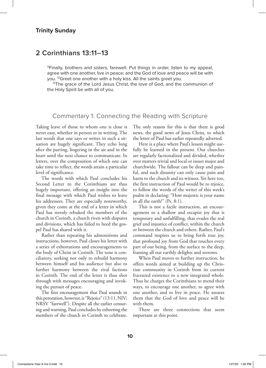## **2 Corinthians 13:11–13**

<sup>11</sup>Finally, brothers and sisters, farewell. Put things in order, listen to my appeal, agree with one another, live in peace; and the God of love and peace will be with you. <sup>12</sup>Greet one another with a holy kiss. All the saints greet you.

<sup>13</sup>The grace of the Lord Jesus Christ, the love of God, and the communion of the Holy Spirit be with all of you.

#### Commentary 1: Connecting the Reading with Scripture

Taking leave of those to whom one is close is never easy, whether in person or in writing. The last words that one says or writes in such a situation are hugely significant. They echo long after the parting, lingering in the air and in the heart until the next chance to communicate. In letters, over the composition of which one can take time to reflect, the words attain a particular level of significance.

The words with which Paul concludes his Second Letter to the Corinthians are thus hugely important, offering an insight into the final message with which Paul wishes to leave his addressees. They are especially noteworthy, given they come at the end of a letter in which Paul has sternly rebuked the members of the church in Corinth, a church riven with disputes and divisions, which has failed to heed the gospel Paul has shared with it.

Rather than repeating his admonitions and instructions, however, Paul closes his letter with a series of exhortations and encouragements to the body of Christ in Corinth. The tone is conciliatory, seeking not only to rebuild harmony between himself and his audience but also to further harmony between the rival factions in Corinth. The end of the letter is thus shot through with messages encouraging and invoking the pursuit of peace.

The first encouragement that Paul sounds in this peroration, however, is "Rejoice" (13:11, NIV; NRSV "farewell"). Despite all the earlier censuring and warning, Paul concludes by exhorting the members of the church in Corinth to celebrate. The only reason for this is that there is good news, the good news of Jesus Christ, to which the letter of Paul has earlier repeatedly adverted.

Here is a place where Paul's lesson might usefully be learned in the present. Our churches are regularly factionalized and divided, whether over matters trivial and local or issues major and churchwide. The fallout can be deep and painful, and such disunity can only cause pain and harm to the church and its witness. Yet here too, the first instruction of Paul would be to rejoice, to follow the words of the writer of this week's psalm in declaring: "How majestic is your name in all the earth!" (Ps. 8:1).

This is not a facile instruction, an encouragement to a shallow and escapist joy that is temporary and unfulfilling, that evades the real grief and injustice of conflict, within the church or between the church and others. Rather, Paul's command inspires us to bring forth true joy, that profound joy from God that touches every part of our being, from the surface to the deep, framing all our earthly delights and sorrows.

When Paul moves to further instruction, he offers words aimed at building up the Christian community in Corinth from its current fractured existence to a new integrated whole. Thus he charges the Corinthians to mend their ways, to encourage one another, to agree with one another, and to live in peace. He assures them that the God of love and peace will be with them.

There are three connections that seem important at this point.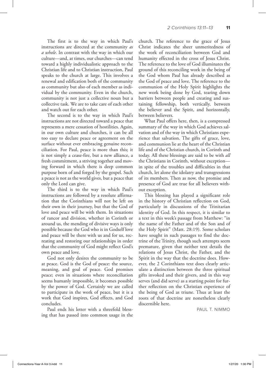The first is to the way in which Paul's instructions are directed at the community *as a whole*. In contrast with the way in which our culture—and, at times, our churches—can tend toward a highly individualistic approach to the Christian life and to Christian instruction, Paul speaks to the church at large. This involves a renewal and edification both of the community as community but also of each member as individual by the community. Even in the church, community is not just a collective noun but a collective task. We are to take care of each other and watch out for each other.

The second is to the way in which Paul's instructions are not directed toward a peace that represents a mere cessation of hostilities. Again, in our own culture and churches, it can be all too easy to declare peace or agreement on the surface without ever embracing genuine reconciliation. For Paul, peace is more than this; it is not simply a cease-fire, but a new alliance, a fresh commitment, a striving together and moving forward in which there is deep common purpose born of and forged by the gospel. Such a peace is not as the world gives, but a peace that only the Lord can give.

The third is to the way in which Paul's instructions are followed by a resolute affirmation that the Corinthians will not be left on their own in their journey, but that the God of love and peace will be with them. In situations of rancor and division, whether in Corinth or around us, the mending of divisive ways is only possible because the God who is in Godself love and peace will be there with us and for us, recreating and restoring our relationships in order that the community of God might reflect God's own peace and love.

God not only desires the community to be at peace. God is the God of peace: the source, meaning, and goal of peace. God promises peace; even in situations where reconciliation seems humanly impossible, it becomes possible by the power of God. Certainly we are called to participate in the work of peace, but it is a work that God inspires, God effects, and God concludes.

Paul ends his letter with a threefold blessing that has passed into common usage in the church. The reference to the grace of Jesus Christ indicates the sheer unmeritedness of the work of reconciliation between God and humanity effected in the cross of Jesus Christ. The reference to the love of God illuminates the ground of this reconciling work in the being of the God whom Paul has already described as the God of peace and love. The reference to the communion of the Holy Spirit highlights the new work being done by God, tearing down barriers between people and creating and sustaining fellowship, both vertically, between the believer and the Spirit, and horizontally, between believers.

What Paul offers here, then, is a compressed summary of the way in which God achieves salvation and of the way in which Christians experience that salvation. The gifts of grace, love, and communion lie at the heart of the Christian life and of the Christian church, in Corinth and today. All these blessings are said to be with *all* the Christians in Corinth, without exception in spite of the troubles and difficulties in that church, let alone the idolatry and transgressions of its members. Then as now, the promise and presence of God are true for all believers without exception.

This blessing has played a significant role in the history of Christian reflection on God, particularly in discussions of the Trinitarian identity of God. In this respect, it is similar to a text in this week's passage from Matthew: "in the name of the Father and of the Son and of the Holy Spirit" (Matt. 28:19). Some scholars have sought in such passages to find the doctrine of the Trinity, though such attempts seem premature, given that neither text details the relations of Jesus Christ, the Father, and the Spirit in the way that the doctrine does. However, the 2 Corinthians text does clearly articulate a distinction between the three spiritual gifts invoked and their givers, and in this way serves (and did serve) as a starting point for further reflection on the Christian experience of the being of God as triune. Thus at least the roots of that doctrine are nonetheless clearly discernible here.

PAUL T. NIMMO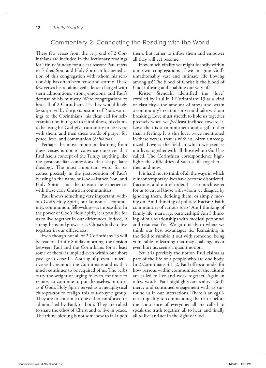## Commentary 2: Connecting the Reading with the World

These few verses from the very end of 2 Corinthians are included in the lectionary readings for Trinity Sunday for a clear reason: Paul refers to Father, Son, and Holy Spirit in his benediction of this congregation with whom his relationship has often been tense and stormy. These few verses heard alone veil a letter charged with stern admonitions, strong emotions, and Paul's defense of his ministry. Were congregations to hear all of 2 Corinthians 13, they would likely be surprised by the juxtaposition of Paul's warnings to the Corinthians, his clear call for selfexamination in regard to faithfulness, his claims to be using his God-given authority to be severe with them, and then these words of prayer for peace, love, and communion (*koinōnia*).

Perhaps the most important learning from these verses is not to convince ourselves that Paul had a concept of the Trinity anything like the postconciliar confessions that shape later theology. The most important word for us comes precisely in the juxtaposition of Paul's blessing in the name of God—Father, Son, and Holy Spirit—and the tension he experiences with these early Christian communities.

Paul knows something very important: without God's Holy Spirit, our koinonia—community, communion, fellowship—is impossible. In the power of God's Holy Spirit, it is possible for us to live together in our differences. Indeed, it strengthens and grows us as Christ's body to live together in our differences.

Even though not all of 2 Corinthians 13 will be read on Trinity Sunday morning, the tension between Paul and the Corinthians (or at least some of them) is implied even within our short passage in verse 11. A string of present imperative verbs reminds the Corinthians and us that much continues to be required of us. The verbs carry the weight of urging folks to continue to rejoice, to continue to put themselves in order as if God's Holy Spirit served as a metaphysical chiropractor to realign this out-of-sync group. They are to continue to be either comforted or admonished by Paul, or both. They are called to share the ethos of Christ and to live in peace. The triune blessing is not somehow to fall upon

them, but rather to infuse them and empower all they will yet become.

How much vitality we might identify within our own congregations if we imagine God's unfathomably vast and intimate life flowing among us! The blood of Christ is the blood of God, infusing and enabling our very life.

Krister Stendahl identified the "love" extolled by Paul in 1 Corinthians 13 as a kind of elasticity—the amount of stress and strain a community's relationship could take without breaking. Love must stretch to hold us together precisely when we *feel* least inclined toward it. Love then is a commitment and a gift rather than a feeling. It is this love, twice mentioned in these verses, that is with us, often unrecognized. Love is the field in which we exercise our lives together with all those whom God has called. The Corinthian correspondence highlights the difficulties of such a life together then and now.

It is hard not to think of all the ways in which our contemporary lives have become disordered, fractious, and out of order. It is so much easier for us to cut off those with whom we disagree by ignoring them, deriding them, or simply moving on. Am I thinking of politics? Racism? Faith communities of various sorts? Am I thinking of family life, marriage, partnerships? Am I thinking of our relationships with medical personnel and retailers? Yes. We go quickly to where we think our best advantages lie. Remaining in the field to rumble it out with someone, being vulnerable to learning that may challenge us or even hurt us, seems a quaint notion.

Yet it is precisely the notion Paul claims as part of the life of a people who are one body. In 2 Corinthians 4:1–2, Paul offers a model for how persons within communities of the faithful are called to live and work together. Again in a few words, Paul highlights our reality: God's mercy and continued engagement with us surround us in our interactions. There is an egalitarian quality to commending the truth before the conscience of everyone: all are called to speak the truth together, all to hear, and finally all to live and act in the sight of God.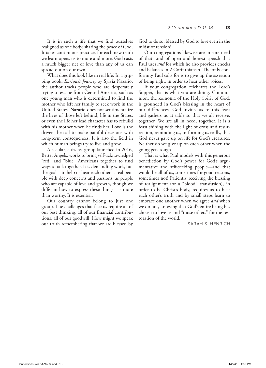It is in such a life that we find ourselves realigned as one body, sharing the peace of God. It takes continuous practice, for each new truth we learn opens us to more and more. God casts a much bigger net of love than any of us can spread out on our own.

What does this look like in real life? In a gripping book, *Enrique's Journey* by Sylvia Nazario, the author tracks people who are desperately trying to escape from Central America, such as one young man who is determined to find the mother who left her family to seek work in the United States. Nazario does not sentimentalize the lives of those left behind, life in the States, or even the life her lead character has to rebuild with his mother when he finds her. Love is the driver, the call to make painful decisions with long-term consequences. It is also the field in which human beings try to live and grow.

A secular, citizens' group launched in 2016, Better Angels, works to bring self-acknowledged "red" and "blue" Americans together to find ways to talk together. It is demanding work, but the goal—to help us hear each other as real people with deep concerns and passions, as people who are capable of love and growth, though we differ in how to express these things—is more than worthy. It is essential.

Our country cannot belong to just one group. The challenges that face us require all of our best thinking, all of our financial contributions, all of our goodwill. How might we speak our truth remembering that we are blessed by

God to do so, blessed by God to love even in the midst of tension?

Our congregations likewise are in sore need of that kind of open and honest speech that Paul uses *and* for which he also provides checks and balances in 2 Corinthians 4. The only conformity Paul calls for is to give up the assertion of being right, in order to hear other voices.

If your congregation celebrates the Lord's Supper, that is what you are doing. Communion, the koinonia of the Holy Spirit of God, is grounded in God's blessing in the heart of our differences. God invites us to this feast and gathers us at table so that we all receive, together. We are all in need, together. It is a feast shining with the light of cross and resurrection, reminding us, in-forming us really, that God never gave up on life for God's creatures. Neither do we give up on each other when the going gets tough.

That is what Paul models with this generous benediction by God's power for God's argumentative and self-seeking people—and that would be all of us, sometimes for good reasons, sometimes not! Patiently receiving the blessing of realignment (or a "blood" transfusion), in order to be Christ's body, requires us to hear each other's truth and by small steps learn to embrace one another when we agree *and* when we do not, knowing that God's entire being has chosen to love us and "those others" for the restoration of the world.

SARAH S. HENRICH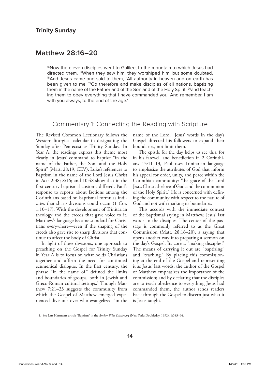## **Matthew 28:16–20**

<sup>16</sup>Now the eleven disciples went to Galilee, to the mountain to which Jesus had directed them. <sup>17</sup>When they saw him, they worshiped him; but some doubted.<br><sup>18</sup>And Jesus came and said to them, "All authority in heaven and on earth has been given to me. <sup>19</sup>Go therefore and make disciples of all nations, baptizing them in the name of the Father and of the Son and of the Holy Spirit, <sup>20</sup>and teaching them to obey everything that I have commanded you. And remember, I am with you always, to the end of the age."

#### Commentary 1: Connecting the Reading with Scripture

The Revised Common Lectionary follows the Western liturgical calendar in designating the Sunday after Pentecost as Trinity Sunday*.* In Year A, the readings express this theme most clearly in Jesus' command to baptize "in the name of the Father, the Son, and the Holy Spirit" (Matt. 28:19, CEV). Luke's references to Baptism in the name of the Lord Jesus Christ in Acts 2:38; 8:16; and 10:48 show that in the first century baptismal customs differed. Paul's response to reports about factions among the Corinthians based on baptismal formulas indicates that sharp divisions could occur (1 Cor. 1:10–17). With the development of Trinitarian theology and the creeds that gave voice to it, Matthew's language became standard for Christians everywhere—even if the shaping of the creeds also gave rise to sharp divisions that continue to affect the body of Christ.

In light of these divisions, one approach to preaching on the Gospel for Trinity Sunday in Year A is to focus on what holds Christians together and affirm the need for continued ecumenical dialogue. In the first century, the phrase "in the name of" defined the limits and boundaries of groups, both in Jewish and Greco-Roman cultural settings.<sup>1</sup> Though Matthew 7:21–23 suggests the community from which the Gospel of Matthew emerged experienced divisions over who evangelized "in the

name of the Lord," Jesus' words in the day's Gospel directed his followers to expand their boundaries, not limit them.

The epistle for the day helps us see this, for in his farewell and benediction in 2 Corinthians 13:11–13, Paul uses Trinitarian language to emphasize the attributes of God that inform his appeal for order, unity, and peace within the Corinthian community: "the grace of the Lord Jesus Christ, the love of God, and the communion of the Holy Spirit." He is concerned with defining the community with respect to the nature of God and not with marking its boundaries.

This accords with the immediate context of the baptismal saying in Matthew, Jesus' last words to the disciples. The center of the passage is commonly referred to as the Great Commission (Matt. 28:16–20), a saying that opens another way into preparing a sermon on the day's Gospel. Its core is "making disciples." The means of carrying it out are "baptizing" and "teaching." By placing this commissioning at the end of the Gospel and representing it as Jesus' last words, the author of the Gospel of Matthew emphasizes the importance of the commission; and by declaring that the disciples are to teach obedience to everything Jesus had commanded them, the author sends readers back through the Gospel to discern just what it is Jesus taught.

<sup>1.</sup> See Lars Hartman's article "Baptism" in the *Anchor Bible Dictionary* (New York: Doubleday, 1992), 1:583–94.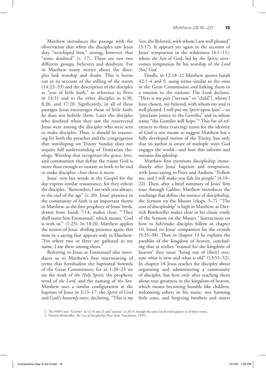Matthew introduces the passage with the observation that when the disciples saw Jesus they "worshiped him," noting, however, that "some doubted" (v. 17). These are not two different groups, believers and doubters. For in Matthew many stories about the disciples link worship and doubt. This is borne out in its account of the stilling of the storm (14:22–33) and the description of the disciples as "you of little faith," in reference to Peter in 14:31 and to the other disciples in 6:30, 8:26, and 17:20. Signficantly, in all of these passages Jesus encourages those of little faith; he does not belittle them. Later the disciples who doubted when they saw the resurrected Jesus were among the disciples who were sent to make disciples. Thus, it should be reassuring for both the preacher and the congregation that worshiping on Trinity Sunday does not require full understanding of Trinitarian theology. Worship that recognizes the grace, love, and communion that define the triune God is more than enough to sustain us both to be and to make disciples—but there is more.

Jesus' very last words in the Gospel for the day express similar reassurance, for they exhort the disciples, "Remember, I am with you always, to the end of the age" (v. 20). Jesus' presence in the community of faith is an important theme in Matthew, as the first prophecy of Jesus' birth, drawn from Isaiah 7:14, makes clear: "'They shall name him Emmanuel,' which means, 'God is with us'" (1:23). In 18:20, Matthew applies the notion of Jesus' abiding presence again, this time in a saying that appears only in Matthew: "For where two or three are gathered in my name, I am there among them."

Referring to Jesus as Emmanuel also introduces us to Matthew's first interweaving of terms that foreshadow the baptismal formula of the Great Commission, for in 1:20–23 we see the work of *the Holy Spirit*, the prophetic word of *the Lord*, and the naming of *the Son*. Matthew uses a similar configuration at the baptism of Jesus in 3:13–17: the *Spirit* of God and God's *heavenly voice*, declaring, "This is *my* 

*Son*, the Beloved, with whom I am well pleased" (3:17). It appears yet again in the account of Jesus' temptation in the wilderness (4:1–11), where *the Son* of God, led by *the Spirit,* overcomes temptation by his worship of *the Lord [his] God*.

Finally, in 12:18–21 Matthew quotes Isaiah 42:1–4 and 9, using terms similar to the ones in the Great Commission *and* linking them to a mission to the nations: The Lord declares, "Here is my *pais* ["servant" or "child"], whom I have chosen, my beloved, with whom my soul is well pleased. I will put *my Spirit* upon him"—to "proclaim justice to the Gentiles" and in whose name "the Gentiles will hope."2 This list of references to three (varying) terms for the identity of God is not meant to suggest Matthew has a fully developed notion of the Trinity, but only that its author is aware of multiple ways God engages the world—and how this informs and sustains discipleship.

Matthew first mentions discipleship immediately after Jesus' baptism and temptation, with Jesus saying to Peter and Andrew, "Follow me, and I will make you fish for people" (4:18– 22). Then, after a brief summary of Jesus' first tour through Galilee, Matthew introduces the teachings that define the essence of discipleship, the Sermon on the Mount (chaps. 5–7). "The cost of discipleship" is high in Matthew, as Dietrich Bonhoeffer makes clear in his classic study of the Sermon on the Mount.<sup>3</sup> Instructions on how to fish/make disciples follow in chapter 10, based on Jesus' compassion for the crowds (9:35–38). Then in chapter 13 he explains the parables of the kingdom of heaven, concluding that as scribes "trained for the kingdom of heaven" they must "bring out of [their] treasure what is new and what is old" (13:51–52). In chapter 18 Jesus teaches the disciples about organizing and administering a community of disciples, but here only after teaching them about true greatness in the kingdom of heaven, which means becoming humble like children, welcoming others in his name, not harming little ones, and forgiving brothers and sisters

<sup>2.</sup> The NRSV uses "Gentiles" in 12:18 and 21 and "nations" in 28:19, though the same Greek word appears in all three verses.

<sup>3.</sup> Dietrich Bonhoeffer, *The Cost of Discipleship* (New York: Touchstone, 1995).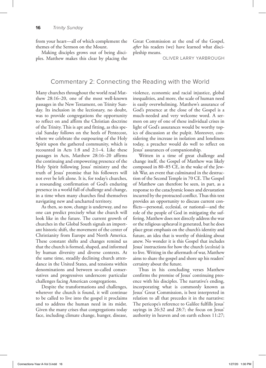from your heart—all of which complement the themes of the Sermon on the Mount.

Making disciples grows out of being disciples. Matthew makes this clear by placing the Great Commission at the end of the Gospel, *after* his readers (we) have learned what discipleship means.

OLIVER LARRY YARBROUGH

## Commentary 2: Connecting the Reading with the World

Many churches throughout the world read Matthew 28:16–20, one of the most well-known passages in the New Testament, on Trinity Sunday. Its inclusion in the lectionary, no doubt, was to provide congregations the opportunity to reflect on and affirm the Christian doctrine of the Trinity. This is apt and fitting, as this special Sunday follows on the heels of Pentecost, where we celebrate the outpouring of the Holy Spirit upon the gathered community, which is recounted in Acts 1:8 and 2:1–4. Like these passages in Acts, Matthew 28:16–20 affirms the continuing and empowering presence of the Holy Spirit following Jesus' ministry and the truth of Jesus' promise that his followers will not ever be left alone. It is, for today's churches, a resounding confirmation of God's enduring presence in a world full of challenge and change, in a time when many churches find themselves navigating new and uncharted territory.

As then, so now, change is underway, and no one can predict precisely what the church will look like in the future. The current growth of churches in the Global South signals an important historic shift, the movement of the center of Christianity from Europe and North America. These constant shifts and changes remind us that the church is formed, shaped, and informed by human diversity and diverse contexts. At the same time, steadily declining church attendance in the United States, and tensions within denominations and between so-called conservatives and progressives underscore particular challenges facing American congregations.

Despite the transformations and challenges, wherever the church is found, it will continue to be called to live into the gospel it proclaims and to address the human need in its midst. Given the many crises that congregations today face, including climate change, hunger, disease, violence, economic and racial injustice, global inequalities, and more, the scale of human need is easily overwhelming. Matthew's assurance of God's presence at the close of the Gospel is a much-needed and very welcome word. A sermon on any of one of these individual crises in light of God's assurances would be worthy topics of discussion at the pulpit. Moreover, considering the increase in isolation and loneliness today, a preacher would do well to reflect on Jesus' assurances of companionship.

Written in a time of great challenge and change itself, the Gospel of Matthew was likely composed in 80–85 CE, in the wake of the Jewish War, an event that culminated in the destruction of the Second Temple in 70 CE. The Gospel of Matthew can therefore be seen, in part, as a response to the cataclysmic losses and devastation incurred by the protracted conflict. Thus this text provides an opportunity to discuss current conflicts—personal, ecclesial, or national—and the role of the people of God in mitigating the suffering. Matthew does not directly address the war or the religious upheaval it generated, but he does place great emphasis on the church's identity and future, an idea that is worthy of thinking about anew. No wonder it is this Gospel that includes Jesus' instructions for how the church (*ecclesia*) is to live. Writing in the aftermath of war, Matthew aims to share the gospel and shore up his readers' certainty about the future.

Thus in his concluding verses Matthew confirms the promise of Jesus' continuing presence with his disciples. The narrative's ending, incorporating what is commonly known as Jesus' Great Commission, is best interpreted in relation to all that precedes it in the narrative: The pericope's reference to Galilee fulfills Jesus' sayings in 26:32 and 28:7; the focus on Jesus' authority in heaven and on earth echoes 11:27;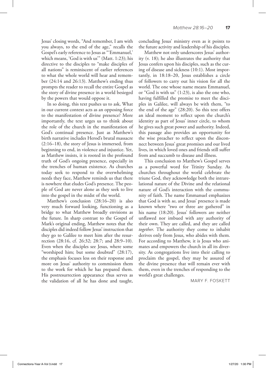Jesus' closing words, "And remember, I am with you always, to the end of the age," recalls the Gospel's early reference to Jesus as "'Emmanuel,' which means, 'God is with us'" (Matt. 1:23); his directive to the disciples to "make disciples of all nations" is reminiscent of earlier references to what the whole world will hear and remember (24:14 and 26:13). Matthew's ending thus prompts the reader to recall the entire Gospel as the story of divine presence in a world besieged by the powers that would oppose it.

In so doing, this text pushes us to ask, What in our current context acts as an opposing force to the manifestation of divine presence? More importantly, the text urges us to think about the role of the church in the manifestation of God's continual presence. Just as Matthew's birth narrative includes Herod's brutal massacre (2:16–18), the story of Jesus is immersed, from beginning to end, in violence and injustice. Yet, as Matthew insists, it is rooted in the profound truth of God's ongoing presence, especially in the trenches of human existence. As churches today seek to respond to the overwhelming needs they face, Matthew reminds us that there is nowhere that eludes God's presence. The people of God are never alone as they seek to live into the gospel in the midst of the world.

Matthew's conclusion (28:16–20) is also very much forward looking, functioning as a bridge to what Matthew broadly envisions as the future. In sharp contrast to the Gospel of Mark's original ending, Matthew notes that the disciples did indeed follow Jesus' instruction that they go to Galilee to meet him after the resurrection (28:16, cf. 26:32; 28:7; and 28:9–10). Even when the disciples see Jesus, where some "worshiped him; but some doubted" (28:17), the emphasis focuses less on their response and more on Jesus' authority to commission them to the work for which he has prepared them. His postresurrection appearance thus serves as the validation of all he has done and taught,

concluding Jesus' ministry even as it points to the future activity and leadership of his disciples.

Matthew not only underscores Jesus' authority (v. 18); he also illustrates the authority that Jesus confers upon his disciples, such as the curing of disease and sickness (10:1). Most importantly, in 18:18–20, Jesus establishes a circle of followers to carry out his vision for all the world. The one whose name means Emmanuel, or "God is with us" (1:23), is also the one who, having fulfilled the promise to meet the disciples in Galilee, will always be with them, "to the end of the age" (28:20). So this text offers an ideal moment to reflect upon the church's identity as part of Jesus' inner circle, to whom he gives such great power and authority. Indeed, this passage also provides an opportunity for the wise preacher to reflect upon the disconnect between Jesus' great promises and our lived lives, in which loved ones and friends still suffer from and succumb to disease and illness.

This conclusion to Matthew's Gospel serves as a powerful word for Trinity Sunday. As churches throughout the world celebrate the triune God, they acknowledge both the intrarelational nature of the Divine and the relational nature of God's interaction with the community of faith. The name Emmanuel emphasizes that God is with *us*, and Jesus' presence is made known where "two or three are gathered" in his name (18:20). Jesus' followers are neither unflawed nor imbued with any authority of their own. They are called, and they are called *together*. The authority they come to inhabit derives only from Jesus, who abides with them. For according to Matthew, it is Jesus who animates and empowers the church in all its diversity. As congregations live into their calling to proclaim the gospel, they may be assured of the divine presence that will remain ever with them, even in the trenches of responding to the world's great challenges.

MARY F. FOSKETT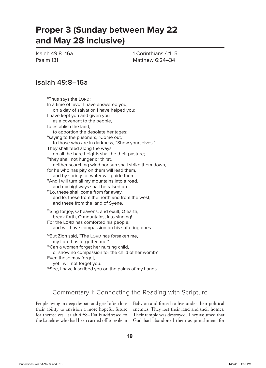# **Proper 3 (Sunday between May 22 and May 28 inclusive)**

Isaiah 49:8–16a Psalm 131

1 Corinthians 4:1–5 Matthew 6:24–34

# **Isaiah 49:8–16a**

<sup>8</sup>Thus says the LORD: In a time of favor I have answered you, on a day of salvation I have helped you; I have kept you and given you as a covenant to the people, to establish the land, to apportion the desolate heritages; <sup>9</sup>saying to the prisoners, "Come out," to those who are in darkness, "Show yourselves." They shall feed along the ways, on all the bare heights shall be their pasture; <sup>10</sup>they shall not hunger or thirst, neither scorching wind nor sun shall strike them down, for he who has pity on them will lead them, and by springs of water will guide them. 11And I will turn all my mountains into a road, and my highways shall be raised up. 12Lo, these shall come from far away, and lo, these from the north and from the west, and these from the land of Syene.  $13$ Sing for joy, O heavens, and exult, O earth; break forth, O mountains, into singing! For the LORD has comforted his people, and will have compassion on his suffering ones. <sup>14</sup>But Zion said, "The LORD has forsaken me, my Lord has forgotten me." <sup>15</sup>Can a woman forget her nursing child, or show no compassion for the child of her womb? Even these may forget, yet I will not forget you.

<sup>16</sup>See, I have inscribed you on the palms of my hands.

## Commentary 1: Connecting the Reading with Scripture

People living in deep despair and grief often lose their ability to envision a more hopeful future for themselves. Isaiah 49:8–16a is addressed to the Israelites who had been carried off to exile in

Babylon and forced to live under their political enemies. They lost their land and their homes. Their temple was destroyed. They assumed that God had abandoned them as punishment for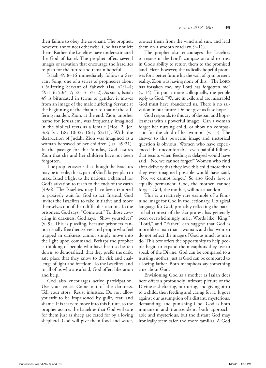their failure to obey the covenant. The prophet, however, announces otherwise. God has not left them. Rather, the Israelites have underestimated the God of Israel. The prophet offers several images of salvation that encourage the Israelites to plan for the future and remain hopeful.

Isaiah 49:8–16 immediately follows a Servant Song, one of a series of prophecies about a Suffering Servant of Yahweh (Isa. 42:1–4; 49:1–6; 50:4–7; 52:13–53:12). As such, Isaiah 49 is bifurcated in terms of gender: it moves from an image of the male Suffering Servant at the beginning of the chapter to that of the suffering maiden, Zion, at the end. Zion, another name for Jerusalem, was frequently imagined in the biblical texts as a female (Hos. 2; Jer. 3:8; Isa. 1:8; 10:32; 16:1; 62:11). With the destruction of Judah, Zion was imagined as a woman bereaved of her children (Isa. 49:21). In the passage for this Sunday, God assures Zion that she and her children have not been forgotten.

The prophet asserts that though the Israelites may be in exile, this is part of God's larger plan to make Israel a light to the nations, a channel for God's salvation to reach to the ends of the earth (49:6). The Israelites may have been tempted to passively wait for God to act. Instead, God invites the Israelites to take initiative and move themselves out of their difficult situation. To the prisoners, God says, "Come out." To those cowering in darkness, God says, "Show yourselves" (v. 9). This is puzzling, because prisoners cannot usually free themselves, and people who feel trapped in darkness cannot simply move into the light upon command. Perhaps the prophet is thinking of people who have been so beaten down, so demoralized, that they prefer the dark, safe place that they know to the risk and challenge of light and freedom. To the Israelites, and to all of us who are afraid, God offers liberation and help.

God also encourages active participation. Use your voice. Come out of the darkness. Tell your story. Resist injustice. Do not allow yourself to be imprisoned by guilt, fear, and shame. It is scary to move into this future, so the prophet assures the Israelites that God will care for them just as sheep are cared for by a loving shepherd. God will give them food and water, protect them from the wind and sun, and lead them on a smooth road (vv. 9–11).

The prophet also encourages the Israelites to rejoice in the Lord's compassion and to trust in God's ability to return them to the promised land. Here, however, the radically hopeful promises for a better future hit the wall of grim present reality. Zion was having none of this: "The LORD has forsaken me, my Lord has forgotten me" (v. 14). To put it more colloquially, the people reply to God, "We are in exile and are miserable! God must have abandoned us. There is no salvation in our future. Do not give us false hope."

God responds to this cry of despair and hopelessness with a powerful image: "Can a woman forget her nursing child, or show no compassion for the child of her womb?" (v. 15). The answer to this powerful image and rhetorical question is obvious. Women who have experienced the uncomfortable, even painful fullness that results when feeding is delayed would have said, "No, we cannot forget!" Women who find after delivery that they love this child more than they ever imagined possible would have said, "No, we cannot forget." So also God's love is equally permanent. God, the mother, cannot forget. God, the mother, will not abandon.

This is a relatively rare example of a feminine image for God in the lectionary. Liturgical language for God, probably reflecting the patriarchal context of the Scriptures, has generally been overwhelmingly male. Words like "King," "Lord," and "Father" can suggest that God is more like a man than a woman, and that women do not reflect the image of God as much as men do. This text offers the opportunity to help people begin to expand the metaphors they use to speak of the Divine. God can be compared to a nursing mother, just as God can be compared to a loving father. Both metaphors say something true about God.

Envisioning God as a mother as Isaiah does here offers a profoundly intimate picture of the Divine as sheltering, nurturing, and giving birth to a child, then feeding and caring for it. It goes against our assumption of a distant, mysterious, demanding, and punishing God. God is both immanent and transcendent, both approachable and mysterious, but the distant God may ironically seem safer and more familiar. A God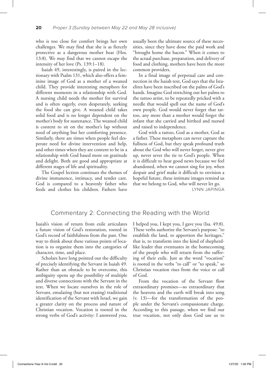who is too close for comfort brings her own challenges. We may find that she is as fiercely protective as a dangerous mother bear (Hos. 13:8). We may find that we cannot escape the intensity of her love (Ps. 139:1–18).

Isaiah 49, interestingly, is paired in the lectionary with Psalm 131, which also offers a feminine image of God as a mother of a weaned child. They provide interesting metaphors for different moments in a relationship with God. A nursing child needs the mother for survival and is often eagerly, even desperately, seeking the food she can give. A weaned child takes solid food and is no longer dependent on the mother's body for sustenance. The weaned child is content to sit on the mother's lap without need of anything but her comforting presence. Similarly, there are times when people feel desperate need for divine intervention and help, and other times when they are content to be in a relationship with God based more on gratitude and delight. Both are good and appropriate at different stages of life and spirituality.

The Gospel lection continues the themes of divine immanence, intimacy, and tender care. God is compared to a heavenly father who feeds and clothes his children. Fathers have

usually been the ultimate source of these necessities, since they have done the paid work and "brought home the bacon." When it comes to the actual purchase, preparation, and delivery of food and clothing, mothers have been the more common providers.

In a final image of perpetual care and connection in the Isaiah text, God says that the Israelites have been inscribed on the palms of God's hands. Imagine God stretching out her palms to the tattoo artist, to be repeatedly pricked with a needle that would spell out the name of God's own people. God would never forget that tattoo, any more than a mother would forget the infant that she carried and birthed and nursed and raised to independence.

God with a tattoo, God as a mother, God as a father. These metaphors can never capture the fullness of God, but they speak profound truth about the God who will never forget, never give up, never sever the tie to God's people. When it is difficult to hear good news because we feel abandoned, when we cannot sing for joy, when despair and grief make it difficult to envision a hopeful future, these intimate images remind us that we belong to God, who will never let go.

LYNN JAPINGA

### Commentary 2: Connecting the Reading with the World

Isaiah's vision of return from exile articulates a future vision of God's restoration, rooted in God's record of faithfulness from the past. One way to think about these various points of location is to organize them into the categories of character, time, and place.

Scholars have long pointed out the difficulty of precisely identifying the Servant in Isaiah 49. Rather than an obstacle to be overcome, this ambiguity opens up the possibility of multiple and diverse connections with the Servant in the text. When we locate ourselves in the role of Servant, emulating (but not erasing) traditional identification of the Servant with Israel, we gain a greater clarity on the process and nature of Christian vocation. Vocation is rooted in the strong verbs of God's activity: I answered you,

I helped you, I kept you, I gave you (Isa. 49:8). These verbs authorize the Servant's purpose: "to establish the land, to apportion the heritages," that is, to transform into the kind of shepherdlike leader that eventuates in the homecoming of the people who will return from the suffering of their exile. Just as the word "vocation" is rooted in the verbs "to call" or "to speak," so Christian vocation rises from the voice or call of God.

From the vocation of the Servant flow extraordinary promises—so extraordinary that the heavens and the earth will break into song (v. 13)—for the transformation of the people under the Servant's compassionate charge. According to this passage, when we find our true vocation, not only does God use us to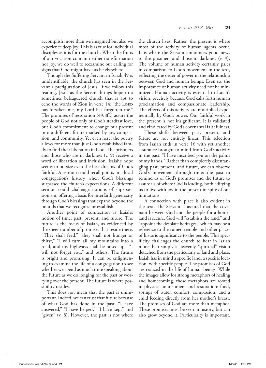accomplish more than we imagined but also we experience deep joy. This is as true for individual disciples as it is for the church. When the fruits of our vocation contain neither transformation nor joy, we do well to reexamine our calling for signs that God might have us be elsewhere.

Though the Suffering Servant in Isaiah 49 is unidentifiable, the church has seen in the Servant a prefiguration of Jesus. If we follow this reading, Jesus as the Servant brings hope to a sometimes beleaguered church that is apt to echo the words of Zion in verse 14: "the LORD has forsaken me, my Lord has forgotten me." The promises of restoration (49:8ff.) assure the people of God not only of God's steadfast love, but God's commitment to change our present into a different future marked by joy, compassion, and community. Yet even here, the poetry allows for more than just God's established family to find their liberation in God. The prisoners and those who are in darkness (v. 9) receive a word of liberation and inclusion. Isaiah's hope seems to outsize even the best dreams of God's faithful. A sermon could recall points in a local congregation's history when God's blessings surpassed the church's expectations. A different sermon could challenge notions of supersessionism, offering a basis for interfaith generosity through God's blessings that expand beyond the bounds that we recognize or establish.

Another point of connection is Isaiah's notion of time: past, present, and future. The future is the focus of Isaiah, as evidenced by the sheer number of promises that reside there. "They shall feed," "they shall not hunger or thirst," "I will turn all my mountains into a road, and my highways shall be raised up," "I will not forget you," and others. The future is bright and promising. It can be enlightening to examine the life of a congregation to see whether we spend as much time speaking about the future as we do longing for the past or worrying over the present. The future is where possibility resides.

This does not mean that the past is unimportant. Indeed, we can trust that future because of what God has done in the past: "I have answered," "I have helped," "I have kept" and "given" (v. 8). However, the past is not where the church lives. Rather, the present is where most of the activity of human agents occur. It is where the Servant announces good news to the prisoners and those in darkness (v. 9). The volume of human activity certainly pales in comparison to God's movement in the text, reflecting the order of power in the relationship between God and human beings. Even so, the importance of human activity need not be minimized. Human activity is essential to Isaiah's vision, precisely because God calls forth human proclamation and compassionate leadership. The effects of this activity are multiplied exponentially by God's power. Our faithful work in the present is not insignificant. It is validated and vindicated by God's covenantal faithfulness.

These shifts between past, present, and future are not entirely linear. This selection from Isaiah ends in verse 16 with yet another assurance brought to mind from God's activity in the past: "I have inscribed you on the palms of my hands." Rather than completely disentangling past, present, and future, we can observe God's movement through time: the past to remind us of God's promises and the future to assure us of where God is leading, both edifying us to live with joy in the present in spite of our limitations.

A connection with place is also evident in the text. The Servant is assured that the covenant between God and the people for a homeland is secure. God will "establish the land," and "appoint the desolate heritages," which may be a reference to the ruined temple and other places of historic significance to the people. This specificity challenges the church to hear in Isaiah more than simply a heavenly "spiritual" vision detached from the particularly of land and place. Isaiah has in mind a specific land, a specific location, with specific people. The promises of God are realized in the life of human beings. While the images allow for strong metaphors of healing and homecoming, those metaphors are rooted in physical nourishment and restoration: food, springs of water, comfort, compassion, and a child feeding directly from her mother's breast. The promises of God are more than metaphor. These promises must be seen in history, but can also grow beyond it. Particularity is important.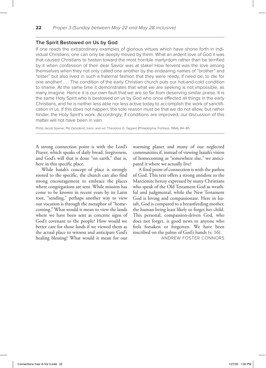#### **The Spirit Bestowed on Us by God**

If one reads the extraordinary examples of glorious virtues which have shone forth in individual Christians, one can only be deeply moved by them. What an ardent love of God it was that caused Christians to hasten toward the most horrible martyrdom rather than be terrified by it when confession of their dear Savior was at stake! How fervent was the love among themselves when they not only called one another by the endearing names of "brother" and "sister" but also lived in such a fraternal fashion that they were ready, if need be, to die for one another! . . . The condition of the early Christian church puts our hot-and-cold condition to shame. At the same time it demonstrates that what we are seeking is not impossible, as many imagine. Hence it is our own fault that we are so far from deserving similar praise. It is the same Holy Spirit who is bestowed on us by God who once effected all things in the early Christians, and he is neither less able nor less active today to accomplish the work of sanctification in us. If this does not happen, the sole reason must be that we do not allow, but rather hinder, the Holy Spirit's work. Accordingly, if conditions are improved, our discussion of this matter will not have been in vain.

Philip Jacob Spener, *Pia Desideria*, trans. and ed. Theodore G. Tappert (Philadelphia: Fortress, 1964), 84–85.

A strong connection point is with the Lord's Prayer, which speaks of daily bread, forgiveness, and God's will that is done "on earth," that is, here in this specific place.

While Isaiah's concept of place is strongly rooted to the specific, the church can also find strong encouragement to embrace the places where congregations are sent. While mission has come to be known in recent years by its Latin root, "sending," perhaps another way to view our vocation is through the metaphor of "homecoming." What would it mean to view the lands where we have been sent as concrete signs of God's covenant to the people? How would we better care for those lands if we viewed them as the actual place to witness and anticipate God's healing blessing? What would it mean for our

warming planet and many of our neglected communities if, instead of viewing Isaiah's vision of homecoming as "somewhere else," we anticipated it where we actually live?

A final point of connection is with the pathos of God. This text offers a strong antidote to the Marcionite heresy expressed by many Christians who speak of the Old Testament God as wrathful and judgmental, while the New Testament God is loving and compassionate. Here in Isaiah, God is compared to a breastfeeding mother, the human being least likely to forget her child. This personal, compassion-driven God, who does not forget, is good news to anyone who feels forsaken or forgotten. We have been inscribed on the palms of God's hands (v. 16).

ANDREW FOSTER CONNORS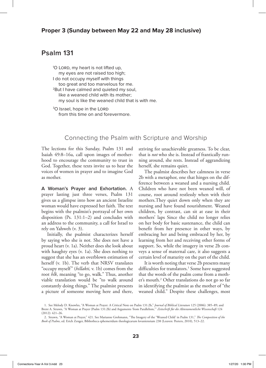## **Psalm 131**

<sup>1</sup>O LORD, my heart is not lifted up, my eyes are not raised too high; I do not occupy myself with things too great and too marvelous for me. 2But I have calmed and quieted my soul, like a weaned child with its mother; my soul is like the weaned child that is with me.

<sup>3</sup>O Israel, hope in the LORD from this time on and forevermore.

## Connecting the Psalm with Scripture and Worship

The lections for this Sunday, Psalm 131 and Isaiah 49:8–16a, call upon images of motherhood to encourage the community to trust in God. Together, these texts invite us to hear the voices of women in prayer and to imagine God as mother.

**A Woman's Prayer and Exhortation.** A prayer lasting just three verses, Psalm 131 gives us a glimpse into how an ancient Israelite woman would have expressed her faith. The text begins with the psalmist's portrayal of her own disposition (Ps. 131:1–2) and concludes with an address to the community, a call for Israel to rely on Yahweh (v. 3).

Initially, the psalmist characterizes herself by saying who she is not*.* She does not have a proud heart (v. 1a). Neither does she look about with haughty eyes (v. 1a). She does nothing to suggest that she has an overblown estimation of herself (v. 1b). The verb that NRSV translates "occupy myself" (*hillakti,* v. 1b) comes from the root *hlk*, meaning "to go, walk." Thus, another viable translation would be "to walk around constantly doing things." The psalmist presents a picture of someone moving here and there,

striving for unachievable greatness. To be clear, that is *not* who she is. Instead of frantically running around, she rests. Instead of aggrandizing herself, she remains quiet.

The psalmist describes her calmness in verse 2b with a metaphor, one that hinges on the difference between a weaned and a nursing child. Children who have not been weaned will, of course, root around restlessly when with their mothers.They quiet down only when they are nursing and have found nourishment. Weaned children, by contrast, can sit at ease in their mothers' laps Since the child no longer relies on her body for basic sustenance, the child can benefit from her presence in other ways, by embracing her and being embraced by her, by learning from her and receiving other forms of support. So, while the imagery in verse 2b conveys a sense of maternal care, it also suggests a certain level of maturity on the part of the child.

It is worth noting that verse 2b presents many difficulties for translators.<sup>1</sup> Some have suggested that the words of the psalm come from a mother's mouth.2 Other translations do not go so far in identifying the psalmist as the mother of "the weaned child." Despite these challenges, most

<sup>1.</sup> See Melody D. Knowles, "A Woman at Prayer: A Critical Note on Psalm 131:2b," *Journal of Biblical Literature* 125 (2006): 385–89; and Brent A. Strawn, "A Woman at Prayer (Psalm 131:2b) and Arguments 'from Parallelism,'" *Zeitschrift für die Alttestamentliche Wissenschaft* 124 (2012): 421–26.

<sup>2.</sup> Strawn, "A Woman at Prayer," 421. See Marianne Grohmann, "The Imagery of the 'Weaned Child' in Psalm 131," *The Composition of the Book of Psalms*, ed. Erich Zenger, Bibliotheca ephemeridum theologicarum lovaniensium 238 (Leuven: Peeters, 2010), 513–22.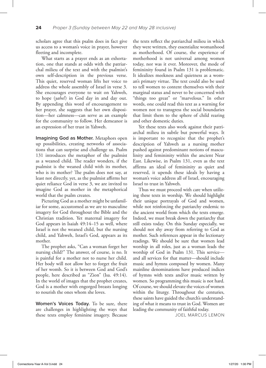scholars agree that this psalm does in fact give us access to a woman's voice in prayer, however fleeting and incomplete.

What starts as a prayer ends as an exhortation, one that stands at odds with the patriarchal milieu of the text and with the psalmist's own self-description in the previous verse. This quiet, reserved woman lifts her voice to address the whole assembly of Israel in verse 3. She encourages everyone to wait on Yahweh, to hope (*yahel*) in God day in and day out. By appending this word of encouragement to her prayer, she suggests that her own disposition—her calmness—can serve as an example for the community to follow. Her demeanor is an expression of her trust in Yahweh.

**Imagining God as Mother.** Metaphors open up possibilities, creating networks of associations that can surprise and challenge us. Psalm 131 introduces the metaphor of the psalmist as a weaned child. The reader wonders, if the psalmist is the weaned child with its mother, who is its mother? The psalm does not say, at least not directly, yet, as the psalmist affirms her quiet reliance God in verse 3, we are invited to imagine God as mother in the metaphorical world that the psalm creates.

Picturing God as a mother might be unfamiliar for some, accustomed as we are to masculine imagery for God throughout the Bible and the Christian tradition. Yet maternal imagery for God appears in Isaiah 49:14–15 as well, where Israel is not the weaned child, but the nursing child, and Yahweh, Israel's God, appears as its mother.

The prophet asks, "Can a woman forget her nursing child?" The answer, of course, is no. It is painful for a mother not to nurse her child. Her body will not allow her to forget the fruit of her womb. So it is between God and God's people, here described as "Zion" (Isa. 49:14). In the world of images that the prophet creates, God is a mother with engorged breasts longing to nourish the ones whom she loves.

**Women's Voices Today.** To be sure, there are challenges in highlighting the ways that these texts employ feminine imagery. Because the texts reflect the patriarchal milieu in which they were written, they essentialize womanhood as motherhood. Of course, the experience of motherhood is not universal among women today, nor was it ever. Moreover, the mode of femininity found in Psalm 131 is problematic. It idealizes meekness and quietness as a woman's primary virtue. The text could also be used to tell women to content themselves with their marginal status and never to be concerned with "things too great" or "marvelous." In other words, one could read this text as a warning for women not to transgress the social boundaries that limit them to the sphere of child rearing and other domestic duties.

Yet these texts also work against their patriarchal milieu in subtle but powerful ways. It is important to recognize that the prophet's description of Yahweh as a nursing mother pushed against predominant notions of masculinity and femininity within the ancient Near East. Likewise, in Psalm 131, even as the text affirms an ideal of femininity as quiet and reserved, it upends these ideals by having a woman's voice address all of Israel, encouraging Israel to trust in Yahweh.

Thus we must proceed with care when utilizing these texts in worship. We should highlight their unique portrayals of God and women, while not reinforcing the patriarchy endemic to the ancient world from which the texts emerge. Indeed, we must break down the patriarchy that still exists today. On this Sunday especially, we should not shy away from referring to God as mother. Such references appear in the lectionary readings. We should be sure that women lead worship in all roles, just as a woman leads the worship of God in Psalm 131. This service and all services for that matter—should include music and hymns composed by women. Many mainline denominations have produced indices of hymns with texts and/or music written by women. So programming this music is not hard. Of course, we should elevate the voices of women within the liturgy. Throughout the centuries, these saints have guided the church's understanding of what it means to trust in God. Women are leading the community of faithful today.

JOEL MARCUS LEMON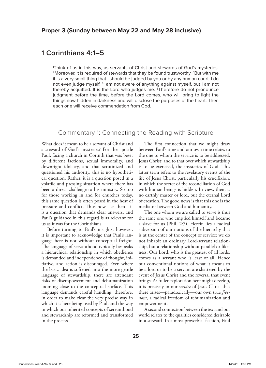## **1 Corinthians 4:1–5**

1 Think of us in this way, as servants of Christ and stewards of God's mysteries. <sup>2</sup>Moreover, it is required of stewards that they be found trustworthy. <sup>3</sup>But with me it is a very small thing that I should be judged by you or by any human court. I do not even judge myself. <sup>4</sup>I am not aware of anything against myself, but I am not thereby acquitted. It is the Lord who judges me. 5Therefore do not pronounce judgment before the time, before the Lord comes, who will bring to light the things now hidden in darkness and will disclose the purposes of the heart. Then each one will receive commendation from God.

#### Commentary 1: Connecting the Reading with Scripture

What does it mean to be a servant of Christ and a steward of God's mysteries? For the apostle Paul, facing a church in Corinth that was beset by different factions, sexual immorality, and downright idolatry, and that scrutinized and questioned his authority, this is no hypothetical question. Rather, it is a question posed in a volatile and pressing situation where there has been a direct challenge to his ministry. So too for those working in and for churches today, this same question is often posed in the heat of pressure and conflict. Thus now—as then—it is a question that demands clear answers, and Paul's guidance in this regard is as relevant for us as it was for the Corinthians.

Before turning to Paul's insights, however, it is important to acknowledge that Paul's language here is not without conceptual freight. The language of servanthood typically bespeaks a hierarchical relationship in which obedience is demanded and independence of thought, initiative, and action is discouraged. Even where the basic idea is softened into the more gentle language of stewardship, there are attendant risks of disempowerment and dehumanization looming close to the conceptual surface. This language demands careful handling, therefore, in order to make clear the very precise way in which it is here being used by Paul, and the way in which our inherited concepts of servanthood and stewardship are reformed and transformed in the process.

The first connection that we might draw between Paul's time and our own time relates to the one to whom the service is to be addressed, Jesus Christ; and to that over which stewardship is to be exercised, the mysteries of God. This latter term refers to the revelatory events of the life of Jesus Christ, particularly his crucifixion, in which the secret of the reconciliation of God with human beings is hidden. In view, then, is no earthly master or lord, but the eternal Lord of creation. The good news is that this one is the mediator between God and humanity.

The one whom we are called to serve is thus the same one who emptied himself and became a slave for us (Phil. 2:7). Herein lies a radical subversion of our notions of the hierarchy that is at the center of the concept of service: we do not inhabit an ordinary Lord-servant relationship, but a relationship without parallel or likeness. Our Lord, who is the greatest of all lords, comes as a servant who is least of all. Hence our conventional notions of what it means to be a lord or to be a servant are shattered by the event of Jesus Christ and the reversal that event brings. As fuller exploration here might develop, it is precisely in our *service* of Jesus Christ that there arises—paradoxically—our own true *freedom*, a radical freedom of rehumanization and empowerment.

A second connection between the text and our world relates to the qualities considered desirable in a steward. In almost proverbial fashion, Paul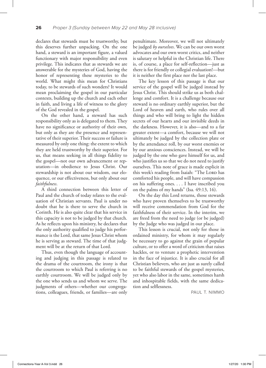declares that stewards must be trustworthy, but this deserves further unpacking. On the one hand, a steward is an important figure, a valued functionary with major responsibility and even privilege. This indicates that as stewards we are answerable for the mysteries of God, having the honor of representing these mysteries to the world. What might this mean for Christians today, to be stewards of such wonders? It would mean proclaiming the gospel in our particular contexts, building up the church and each other in faith, and living a life of witness to the glory of the God revealed in the gospel.

On the other hand, a steward has such responsibility only as is delegated to them. They have no significance or authority of their own, but only as they are the presence and representative of their superior. Their success or failure is measured by only one thing: the extent to which they are held trustworthy by their superior. For us, that means seeking in all things fidelity to the gospel—not our own advancement or reputation—in obedience to Jesus Christ. Our stewardship is not about our wisdom, our eloquence, or our effectiveness, but only about our *faithfulness*.

A third connection between this letter of Paul and the church of today relates to the evaluation of Christian servants. Paul is under no doubt that he is there to serve the church in Corinth. He is also quite clear that his service in this capacity is not to be judged by that church. As he reflects upon his ministry, he declares that the only authority qualified to judge his performance is the Lord, that same Jesus Christ whom he is serving as steward. The time of that judgment will be at the return of that Lord.

Thus, even though the language of accounting and judging in this passage is related to the drama of the courtroom, the irony is that the courtroom to which Paul is referring is no earthly courtroom. We will be judged only by the one who sends us and whom we serve. The judgments of others—whether our congregations, colleagues, friends, or families—are only penultimate. Moreover, we will not ultimately be judged *by ourselves*. We can be our own worst advocates and our own worst critics, and neither is salutary or helpful in the Christian life. There is, of course, a place for self-reflection—just as there is for friendly or collegial evaluation!—but it is neither the first place nor the last place.

The key lesson of this passage is that our service of the gospel will be judged instead by Jesus Christ. This should strike us as both challenge and comfort. It is a challenge because our steward is no ordinary earthly superior, but the Lord of heaven and earth, who rules over all things and who will bring to light the hidden secrets of our hearts and our invisible deeds in the darkness. However, it is also—and to a far greater extent—a comfort, because we will not ultimately be judged by the collection plate or by the attendance roll, by our worst enemies or by our anxious consciences. Instead, we will be judged by the one who gave himself for us, and who justifies us so that we do not need to justify ourselves. This note of grace is made explicit in this week's reading from Isaiah: "The LORD has comforted his people, and will have compassion on his suffering ones. . . . I have inscribed you on the palms of my hands" (Isa. 49:13, 16).

On the day this Lord returns, those stewards who have proven themselves to be trustworthy will receive commendation from God for the faithfulness of their service. In the interim, we are freed from the need to judge (or be judged) by the Judge who was judged in our place.

This lesson is crucial, not only for those in ordained ministry, for whom it may regularly be necessary to go against the grain of popular culture, or to offer a word of criticism that raises hackles, or to venture a prophetic intervention in the face of injustice. It is also crucial for all Christian believers, who are just as surely called to be faithful stewards of the gospel mysteries, yet who also labor in the same, sometimes harsh and inhospitable fields, with the same dedication and selflessness.

PAUL T. NIMMO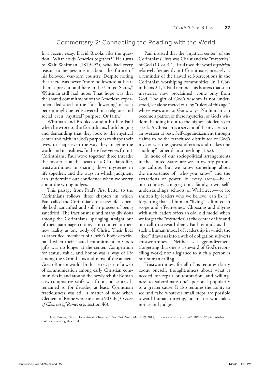### Commentary 2: Connecting the Reading with the World

In a recent essay, David Brooks asks the question "What holds America together?" He turns to Walt Whitman (1819–92), who had every reason to be pessimistic about the future of his beloved, war-torn country. Despite noting that there was never "more hollowness at heart than at present, and here in the United States," Whitman still had hope. That hope was that the shared commitment of the American experiment dedicated to the "full flowering" of each person might be rediscovered in a religious and social, even "mystical" purpose. Or faith.<sup>1</sup>

Whitman and Brooks sound a bit like Paul when he wrote to the Corinthians, both longing and demanding that they look to the mystical center and faith in God's purposes to shape their lives, to shape even the way they imagine the world and its realities. In these few verses from 1 Corinthians, Paul wove together three threads: the mysteries at the heart of a Christian's life, trustworthiness in sharing those mysteries in life together, and the ways in which judgment can undermine our confidence when we worry about the wrong judges.

This passage from Paul's First Letter to the Corinthians follows three chapters in which Paul called the Corinthians to a new life as people both sanctified and still in process of being sanctified. The fractiousness and many divisions among the Corinthians, springing straight out of their patronage culture, ran counter to their new reality as one body of Christ. Their lives as sanctified members of Christ's body deteriorated when their shared commitment to God's gifts was no longer at the center. Competition for status, value, and honor was a way of life among the Corinthians and most of the ancient Greco-Roman world. In this letter, part of a web of communication among early Christian communities in and around the newly rebuilt Roman city, competitive strife was front and center. It remained so for decades, at least. Corinthian fractiousness was still a matter of note when Clement of Rome wrote in about 90 CE (*1 Letter of Clement of Rome*, esp. section 46).

Paul insisted that the "mystical center" of the Corinthians' lives was Christ and the "mysteries" of God (1 Cor. 4:1). Paul used the word *mystērion* relatively frequently in 1 Corinthians, precisely as a reminder of the flawed self-perceptions in the Corinthian worshiping communities. In 1 Corinthians 2:1, 7 Paul reminds his hearers that such mysteries, now proclaimed, come only from God. The gift of God's wisdom is not understood, let alone meted out, by "rulers of this age," whose ways are not God's ways. No human can become a patron of these mysteries, of God's wisdom, handing it out to the highest bidder, so to speak. A Christian is a servant of the mysteries or an overseer at best. Self-aggrandizement through claims to be the franchised distributor of God's mysteries is the gravest of errors and makes one "nothing" rather than something (13:2).

In none of our sociopolitical arrangements in the United States are we an overtly patronage culture, but we know something about the importance of "who you know" and the attractions of power. In every arena—be it our country, congregation, family, own selfunderstandings, schools, or Wall Street—we are smitten by leaders who we believe "can fix it," forgetting that all human "fixing" is limited in scope and effectiveness. Choosing and allying with such leaders offers an old, old model when we forget the "mysteries" at the center of life and our call to steward them. Paul reminds us that such a human model of leadership in which the "fixer" draws us into a web of obligation subverts trustworthiness. Neither self-aggrandizement (forgetting that one is a steward of God's reconciling work) nor allegiance to such a person is our human calling.

Trustworthiness for all of us requires clarity about oneself, thoughtfulness about what is needed for repair or restoration, and willingness to subordinate one's personal popularity to a greater cause. It also requires the ability to see and take whatever small steps are possible toward human thriving, no matter who takes notice and judges.

<sup>1.</sup> David Brooks, "What Holds America Together," *New York Times*, March 19, 2018, https://www.nytimes.com/2018/03/19/opinion/what -holds-america-together.html.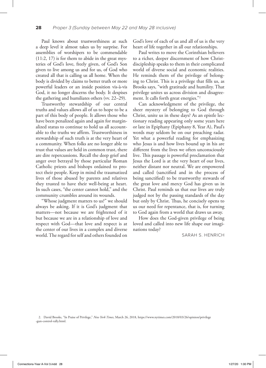Paul knows about trustworthiness at such a deep level it almost takes us by surprise. For assemblies of worshipers to be commendable (11:2, 17) is for them to abide in the great mysteries of God's love, freely given, of God's Son given to live among us and for us, of God who created all that is calling us all home. When the body is divided by claims to better truth or more powerful leaders or an inside position vis-à-vis God, it no longer discerns the body. It despises the gathering and humiliates others (vv. 22–29).

Trustworthy stewardship of our central truths and values allows all of us to hope to be a part of this body of people. It allows those who have been penalized again and again for marginalized status to continue to hold us all accountable to the truths we affirm. Trustworthiness in stewardship of such truth is at the very heart of a community. When folks are no longer able to trust that values are held in common trust, there are dire repercussions. Recall the deep grief and anger over betrayal by those particular Roman Catholic priests and bishops ordained to protect their people. Keep in mind the traumatized lives of those abused by parents and relatives they trusted to have their well-being at heart. In such cases, "the center cannot hold," and the community crumbles around its wounds.

"Whose judgment matters to us?" we should always be asking. If it is God's judgment that matters—not because we are frightened of it but because we are in a relationship of love and respect with God—that love and respect is at the center of our lives in a complex and diverse world. The regard for self and others founded on

God's love of each of us and all of us is the very heart of life together in all our relationships.

Paul writes to move the Corinthian believers to a richer, deeper discernment of how Christdiscipleship speaks to them in their complicated world of diverse social and economic realities. He reminds them of the privilege of belonging to Christ. This is a privilege that fills us, as Brooks says, "with gratitude and humility. That privilege unites us across division and disagreement. It calls forth great energies."2

Can acknowledgment of the privilege, the sheer mystery of belonging to God through Christ, unite us in these days? As an epistle lectionary reading appearing only some years here or late in Epiphany (Epiphany 8, Year A), Paul's words may seldom be on our preaching radar. Yet what a powerful reading for emphasizing who Jesus is and how lives bound up in his are different from the lives we often unconsciously live. This passage is powerful proclamation that Jesus the Lord is at the very heart of our lives, neither distant nor neutral. We are empowered and called (sanctified and in the process of being sanctified) to be trustworthy stewards of the great love and mercy God has given us in Christ. Paul reminds us that our lives are truly judged not by the passing standards of the day but only by Christ. Thus, he concisely opens to us our need for repentance, that is, for turning to God again from a world that draws us away.

How does the God-given privilege of being loved and called into new life shape our imaginations today?

SARAH S. HENRICH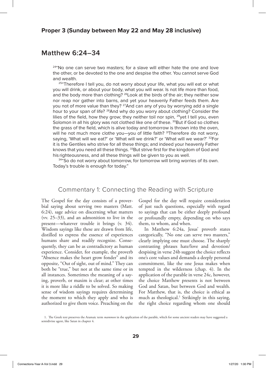## **Matthew 6:24–34**

 $24^{\circ}$ No one can serve two masters; for a slave will either hate the one and love the other, or be devoted to the one and despise the other. You cannot serve God and wealth.<br><sup>25</sup>"Therefore I tell you, do not worry about your life, what you will eat or what

you will drink, or about your body, what you will wear. Is not life more than food, and the body more than clothing? <sup>26</sup>Look at the birds of the air; they neither sow nor reap nor gather into barns, and yet your heavenly Father feeds them. Are you not of more value than they? <sup>27</sup>And can any of you by worrying add a single hour to your span of life? <sup>28</sup>And why do you worry about clothing? Consider the lilies of the field, how they grow; they neither toil nor spin,  $29$ yet I tell you, even Solomon in all his glory was not clothed like one of these. <sup>30</sup>But if God so clothes the grass of the field, which is alive today and tomorrow is thrown into the oven, will he not much more clothe you-you of little faith? <sup>31</sup>Therefore do not worry, saying, 'What will we eat?' or 'What will we drink?' or 'What will we wear?' <sup>32</sup>For it is the Gentiles who strive for all these things; and indeed your heavenly Father knows that you need all these things. <sup>33</sup>But strive first for the kingdom of God and his righteousness, and all these things will be given to you as well.

34"So do not worry about tomorrow, for tomorrow will bring worries of its own. Today's trouble is enough for today."

#### Commentary 1: Connecting the Reading with Scripture

The Gospel for the day consists of a proverbial saying about serving two masters (Matt. 6:24), sage advice on discerning what matters (vv. 25–33), and an admonition to live in the present—whatever trouble it brings (v. 34). Wisdom sayings like these are drawn from life, distilled to express the essence of experiences humans share and readily recognize. Consequently, they can be as contradictory as human experience. Consider, for example, the proverb "Absence makes the heart grow fonder" and its opposite, "Out of sight, out of mind." They can both be "true," but not at the same time or in all instances. Sometimes the meaning of a saying, proverb, or maxim is clear; at other times it is more like a riddle to be solved. So making sense of wisdom sayings requires determining the moment to which they apply and who is authorized to give them voice. Preaching on the

Gospel for the day will require consideration of just such questions, especially with regard to sayings that can be either deeply profound or profoundly empty, depending on who says them, to whom, and when.

In Matthew 6:24a, Jesus' proverb states categorically, "No one can serve two masters," clearly implying one must choose. The sharply contrasting phrases hate/love and devotion/ despising in verse 24b suggest the choice reflects one's core values and demands a deeply personal commitment, like the one Jesus makes when tempted in the wilderness (chap. 4). In the application of the parable in verse 24c, however, the choice Matthew presents is not between God and Satan, but between God and wealth. For Matthew, that is, the choice is ethical as much as theological.<sup>1</sup> Strikingly in this saying, the right choice regarding whom one should

<sup>1.</sup> The Greek text preserves the Aramaic term *mammon* in the application of the parable, which for some ancient readers may have suggested a semidivine agent, like Satan in chapter 4.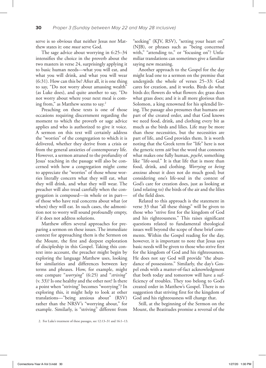serve is so obvious that neither Jesus nor Matthew states it: one *must* serve God.

The sage advice about worrying in 6:25–34 intensifies the choice in the proverb about the two masters in verse 24, surprisingly applying it to basic human needs—what you will eat, and what you will drink, and what you will wear (6:31). How can this be? After all, it is one thing to say, "Do not worry about amassing wealth" (as Luke does), and quite another to say, "Do not worry about where your next meal is coming from," as Matthew seems to say.<sup>2</sup>

Preaching on these texts is one of those occasions requiring discernment regarding the moment to which the proverb or sage advice applies and who is authorized to give it voice. A sermon on this text will certainly address the "worries" of the congregation to which it is delivered, whether they derive from a crisis or from the general anxieties of contemporary life. However, a sermon attuned to the profundity of Jesus' teaching in the passage will also be concerned with how a congregation might come to appreciate the "worries" of those whose worries literally concern what they will eat, what they will drink, and what they will wear. The preacher will also tread carefully when the congregation is composed—in whole or in part of those who have real concerns about what (or when) they will eat. In such cases, the admonition not to worry will sound profoundly empty, if it does not address solutions.

Matthew offers several approaches for preparing a sermon on these issues. The immediate context for approaching them is the Sermon on the Mount, the first and deepest exploration of discipleship in this Gospel. Taking this context into account, the preacher might begin by exploring the language Matthew uses, looking for similarities and differences between key terms and phrases. How, for example, might one compare "*worrying*" (6:25) and "*striving*" (v. 33)? Is one healthy and the other not? Is there a point when "striving" becomes "worrying"? In exploring this, it might help to look at other translations—"being anxious about" (RSV) rather than the NRSV's "worrying about," for example. Similarly, is "striving" different from

Another approach to the Gospel for the day might lead one to a sermon on the premise that undergirds the whole of verses 25–33: God cares for creation, and it works. Birds do what birds do; flowers do what flowers do; grass does what grass does; and it is all more glorious than Solomon, a king renowned for his splendid living. The passage also presumes that humans are part of the created order, and that God knows we need food, drink, and clothing every bit as much as the birds and lilies. Life may be more than these necessities, but the necessities are part of life, and God provides them. It is worth noting that the Greek term for "life" here is not the generic term *zōē* but the word that connotes what makes one fully human, *psychē*, something like "life-soul." It is that life that is more than food, drink, and clothing. *Worrying* or *being anxious* about it does not do much good; but considering one's life-soul in the context of God's care for creation does, just as looking at (and relating to) the birds of the air and the lilies of the field does.

Related to this approach is the statement in verse 33 that "all these things" will be given to those who "strive first for the kingdom of God and his righteousness." This raises significant questions related to fundamental theological issues well beyond the scope of these brief comments. Within the Gospel reading for the day, however, it is important to note that Jesus says basic needs will be given to those who strive first for the kingdom of God and his righteousness. He does not say God will provide "the abundance of possessions." Similarly, the day's Gospel ends with a matter-of-fact acknowledgment that both today and tomorrow will have a sufficiency of troubles. They too belong to God's created order in Matthew's Gospel. There is no suggestion that striving first for the kingdom of God and his righteousness will change that.

Still, at the beginning of the Sermon on the Mount, the Beatitudes promise a reversal of the

<sup>&</sup>quot;seeking" (KJV, RSV), "setting your heart on" (NJB), or phrases such as "being concerned with," "attending to," or "focusing on"? Unfamiliar translations can sometimes give a familiar saying new meaning.

<sup>2.</sup> For Luke's treatment of these passages, see 12:13–31 and 16:1–13.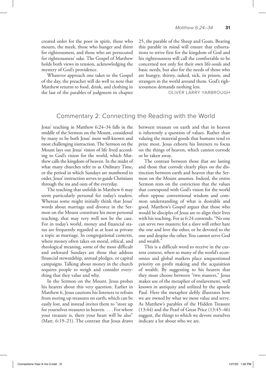created order for the poor in spirit, those who mourn, the meek, those who hunger and thirst for righteousness, and those who are persecuted for righteousness' sake. The Gospel of Matthew holds both views in tension, acknowledging the mystery of God's providence.

Whatever approach one takes to the Gospel of the day, the preacher will do well to note that Matthew returns to food, drink, and clothing in the last of the parables of judgment in chapter 25, the parable of the Sheep and Goats. Bearing this parable in mind will ensure that exhortations to strive first for the kingdom of God and his righteousness will call the comfortable to be concerned not only for their own life-souls and basic needs, but also for the needs of those who are hungry, thirsty, naked, sick, in prison, and strangers in the world around them. God's righteousness demands nothing less.

OLIVER LARRY YARBROUGH

#### Commentary 2: Connecting the Reading with the World

Jesus' teaching in Matthew 6:24–34 falls in the middle of the Sermon on the Mount, considered by many to be both Jesus' most well-known and most challenging instruction. The Sermon on the Mount lays out Jesus' vision of life lived according to God's vision for the world, which Matthew calls the kingdom of heaven. In the midst of what many churches refer to as Ordinary Time, or the period in which Sundays are numbered in order, Jesus' instruction serves to guide Christians through the ins and outs of the everyday.

The teaching that unfolds in Matthew 6 may seem particularly personal for today's readers. Whereas some might initially think that Jesus' words about marriage and divorce in the Sermon on the Mount constitute his most personal teaching, that may very well not be the case. For in today's world, money and financial status are frequently regarded as at least as private a topic as marriage. In congregational contexts, where money often takes on moral, ethical, and theological meaning, some of the most difficult and awkward Sundays are those that address financial stewardship, annual pledges, or capital campaigns. Talking about money in the church requires people to weigh and consider everything that they value and why.

In the Sermon on the Mount, Jesus probes his hearers about this very question. Earlier in Matthew 6, Jesus cautions his listeners to refrain from storing up treasures on earth, which can be easily lost, and instead invites them to "store up for yourselves treasures in heaven. . . . For where your treasure is, there your heart will be also" (Matt. 6:19–21). The contrast that Jesus draws between treasure on earth and that in heaven is inherently a question of values. Rather than valuing the material goods that humans tend to prize most, Jesus exhorts his listeners to focus on the things of heaven, which cannot corrode or be taken away.

The contrast between those that are lasting and those that corrode clearly plays on the distinction between earth and heaven that the Sermon on the Mount assumes. Indeed, the entire Sermon rests on the conviction that the values that correspond with God's vision for the world often oppose conventional wisdom and common understanding of what is desirable and good. Matthew's Gospel argues that those who would be disciples of Jesus are to align their lives with his teaching. For as 6:24 contends, "No one can serve two masters; for a slave will either hate the one and love the other, or be devoted to the one and despise the other. You cannot serve God and wealth."

This is a difficult word to receive in the current context, when so many of the world's economies and global markets place unquestioned priority on profit making and the acquisition of wealth. By suggesting to his hearers that they must choose between "two masters," Jesus makes use of the metaphor of enslavement, well known in antiquity and utilized by the apostle Paul. Here the metaphor deftly illustrates how we are owned by what we most value and serve. As Matthew's parables of the Hidden Treasure (13:44) and the Pearl of Great Price (13:45–46) suggest, the things to which we devote ourselves indicate a lot about who we are.